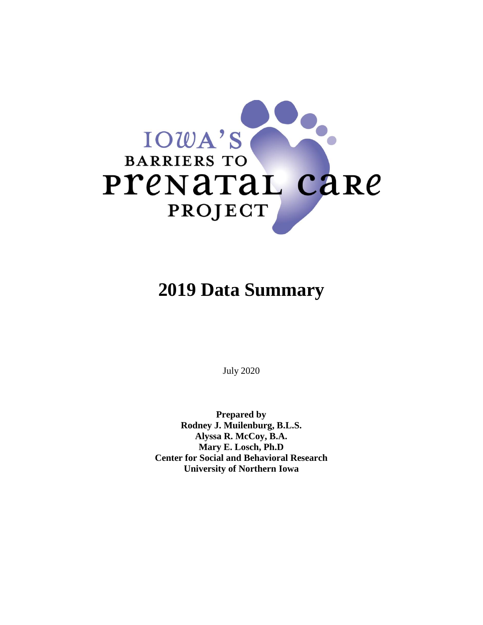

# **2019 Data Summary**

July 2020

**Prepared by Rodney J. Muilenburg, B.L.S. Alyssa R. McCoy, B.A. Mary E. Losch, Ph.D Center for Social and Behavioral Research University of Northern Iowa**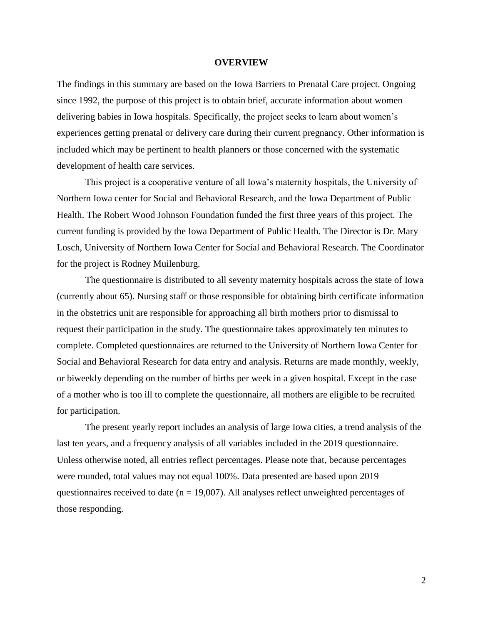#### **OVERVIEW**

The findings in this summary are based on the Iowa Barriers to Prenatal Care project. Ongoing since 1992, the purpose of this project is to obtain brief, accurate information about women delivering babies in Iowa hospitals. Specifically, the project seeks to learn about women's experiences getting prenatal or delivery care during their current pregnancy. Other information is included which may be pertinent to health planners or those concerned with the systematic development of health care services.

This project is a cooperative venture of all Iowa's maternity hospitals, the University of Northern Iowa center for Social and Behavioral Research, and the Iowa Department of Public Health. The Robert Wood Johnson Foundation funded the first three years of this project. The current funding is provided by the Iowa Department of Public Health. The Director is Dr. Mary Losch, University of Northern Iowa Center for Social and Behavioral Research. The Coordinator for the project is Rodney Muilenburg.

The questionnaire is distributed to all seventy maternity hospitals across the state of Iowa (currently about 65). Nursing staff or those responsible for obtaining birth certificate information in the obstetrics unit are responsible for approaching all birth mothers prior to dismissal to request their participation in the study. The questionnaire takes approximately ten minutes to complete. Completed questionnaires are returned to the University of Northern Iowa Center for Social and Behavioral Research for data entry and analysis. Returns are made monthly, weekly, or biweekly depending on the number of births per week in a given hospital. Except in the case of a mother who is too ill to complete the questionnaire, all mothers are eligible to be recruited for participation.

The present yearly report includes an analysis of large Iowa cities, a trend analysis of the last ten years, and a frequency analysis of all variables included in the 2019 questionnaire. Unless otherwise noted, all entries reflect percentages. Please note that, because percentages were rounded, total values may not equal 100%. Data presented are based upon 2019 questionnaires received to date ( $n = 19,007$ ). All analyses reflect unweighted percentages of those responding.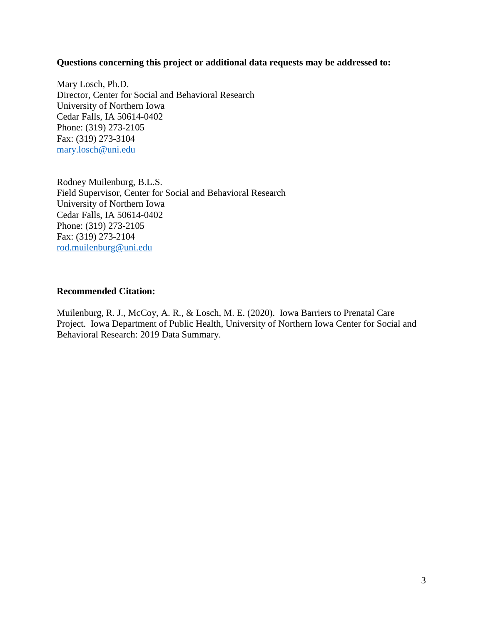#### **Questions concerning this project or additional data requests may be addressed to:**

Mary Losch, Ph.D. Director, Center for Social and Behavioral Research University of Northern Iowa Cedar Falls, IA 50614-0402 Phone: (319) 273-2105 Fax: (319) 273-3104 [mary.losch@uni.edu](mailto:mary.losch@uni.edu)

Rodney Muilenburg, B.L.S. Field Supervisor, Center for Social and Behavioral Research University of Northern Iowa Cedar Falls, IA 50614-0402 Phone: (319) 273-2105 Fax: (319) 273-2104 [rod.muilenburg@uni.edu](mailto:rod.muilenburg@uni.edu)

## **Recommended Citation:**

Muilenburg, R. J., McCoy, A. R., & Losch, M. E. (2020). Iowa Barriers to Prenatal Care Project. Iowa Department of Public Health, University of Northern Iowa Center for Social and Behavioral Research: 2019 Data Summary.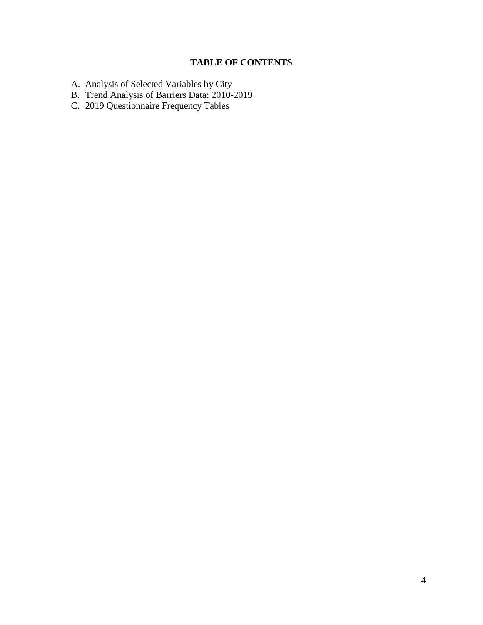# **TABLE OF CONTENTS**

- A. Analysis of Selected Variables by City
- B. Trend Analysis of Barriers Data: 2010-2019
- C. 2019 Questionnaire Frequency Tables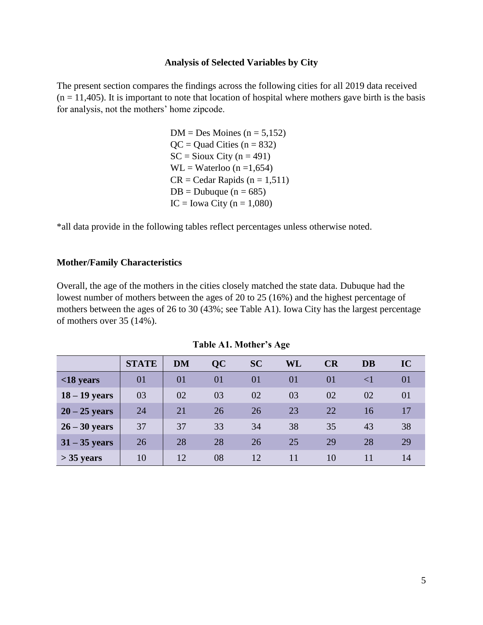#### **Analysis of Selected Variables by City**

The present section compares the findings across the following cities for all 2019 data received  $(n = 11,405)$ . It is important to note that location of hospital where mothers gave birth is the basis for analysis, not the mothers' home zipcode.

> $DM = Des$  Moines (n = 5,152)  $QC = Quad Cities (n = 832)$  $SC =$  Sioux City (n = 491)  $WL = Waterloo (n = 1,654)$  $CR = Cedar Rapids (n = 1,511)$  $DB = Dubuque (n = 685)$  $IC = Iowa City (n = 1,080)$

\*all data provide in the following tables reflect percentages unless otherwise noted.

#### **Mother/Family Characteristics**

Overall, the age of the mothers in the cities closely matched the state data. Dubuque had the lowest number of mothers between the ages of 20 to 25 (16%) and the highest percentage of mothers between the ages of 26 to 30 (43%; see Table A1). Iowa City has the largest percentage of mothers over 35 (14%).

|                 | <b>STATE</b> | <b>DM</b> | <b>QC</b> | <b>SC</b> | WL | CR | <b>DB</b> | IC |
|-----------------|--------------|-----------|-----------|-----------|----|----|-----------|----|
| $<$ 18 years    | 01           | 01        | 01        | 01        | 01 | 01 | $\leq$ 1  | 01 |
| $18 - 19$ years | 03           | 02        | 03        | 02        | 03 | 02 | 02        | 01 |
| $20 - 25$ years | 24           | 21        | 26        | 26        | 23 | 22 | 16        | 17 |
| $26 - 30$ years | 37           | 37        | 33        | 34        | 38 | 35 | 43        | 38 |
| $31 - 35$ years | 26           | 28        | 28        | 26        | 25 | 29 | 28        | 29 |
| $>$ 35 years    | 10           | 12        | 08        | 12        | 11 | 10 | 11        | 14 |

**Table A1. Mother's Age**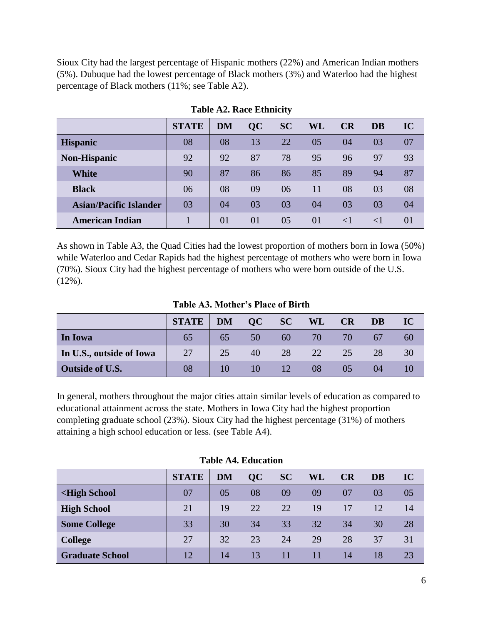Sioux City had the largest percentage of Hispanic mothers (22%) and American Indian mothers (5%). Dubuque had the lowest percentage of Black mothers (3%) and Waterloo had the highest percentage of Black mothers (11%; see Table A2).

|                               | <b>STATE</b> | <b>DM</b> | QC | <b>SC</b> | WL | CR       | <b>DB</b> | IC       |
|-------------------------------|--------------|-----------|----|-----------|----|----------|-----------|----------|
| <b>Hispanic</b>               | 08           | 08        | 13 | 22        | 05 | 04       | 03        | 07       |
| <b>Non-Hispanic</b>           | 92           | 92        | 87 | 78        | 95 | 96       | 97        | 93       |
| <b>White</b>                  | 90           | 87        | 86 | 86        | 85 | 89       | 94        | 87       |
| <b>Black</b>                  | 06           | 08        | 09 | 06        | 11 | 08       | 03        | 08       |
| <b>Asian/Pacific Islander</b> | 03           | 04        | 03 | 03        | 04 | 03       | 03        | 04       |
| <b>American Indian</b>        |              | 01        | 01 | 05        | 01 | $\leq$ 1 | $\leq$ 1  | $\Omega$ |

**Table A2. Race Ethnicity**

As shown in Table A3, the Quad Cities had the lowest proportion of mothers born in Iowa (50%) while Waterloo and Cedar Rapids had the highest percentage of mothers who were born in Iowa (70%). Sioux City had the highest percentage of mothers who were born outside of the U.S.  $(12\%)$ .

**Table A3. Mother's Place of Birth**

|                          | <b>STATE</b> | <b>DM</b> | OC | SC | <b>WL</b> | <b>CR</b> | DB | IC |
|--------------------------|--------------|-----------|----|----|-----------|-----------|----|----|
| In Iowa                  | 65           | 65        | 50 | 60 | 70        | 70'       |    | 60 |
| In U.S., outside of Iowa | 27           | 25        | 40 | 28 | 22        | 25        | 28 | 30 |
| Outside of U.S.          | 08           |           | 10 | 12 | 08        |           | 04 |    |

In general, mothers throughout the major cities attain similar levels of education as compared to educational attainment across the state. Mothers in Iowa City had the highest proportion completing graduate school (23%). Sioux City had the highest percentage (31%) of mothers attaining a high school education or less. (see Table A4).

|                                                                                                                        | <b>STATE</b> | <b>DM</b> | QC | <b>SC</b> | WL | CR | DB | IC |
|------------------------------------------------------------------------------------------------------------------------|--------------|-----------|----|-----------|----|----|----|----|
| <high school<="" th=""><th>07</th><th>05</th><th>08</th><th>09</th><th>09</th><th>07</th><th>03</th><th>05</th></high> | 07           | 05        | 08 | 09        | 09 | 07 | 03 | 05 |
| <b>High School</b>                                                                                                     | 21           | 19        | 22 | 22        | 19 | 17 | 12 | 14 |
| <b>Some College</b>                                                                                                    | 33           | 30        | 34 | 33        | 32 | 34 | 30 | 28 |
| <b>College</b>                                                                                                         | 27           | 32        | 23 | 24        | 29 | 28 | 37 | 31 |
| <b>Graduate School</b>                                                                                                 | 12           | 14        | 13 | 11        | 11 | 14 | 18 | 23 |

**Table A4. Education**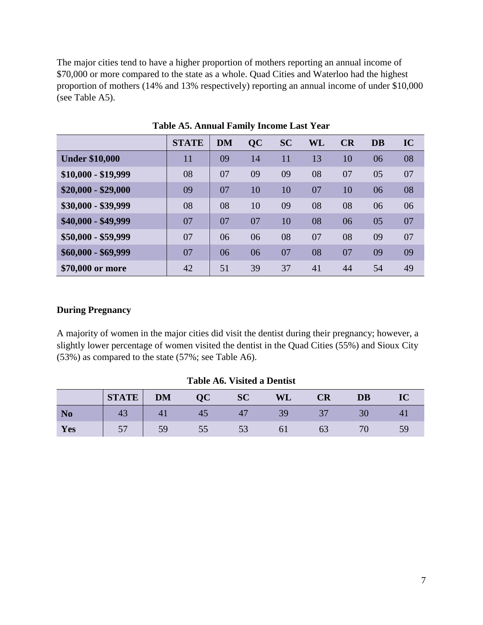The major cities tend to have a higher proportion of mothers reporting an annual income of \$70,000 or more compared to the state as a whole. Quad Cities and Waterloo had the highest proportion of mothers (14% and 13% respectively) reporting an annual income of under \$10,000 (see Table A5).

|                       | <b>STATE</b> | <b>DM</b> | QC | <b>SC</b> | WL | CR | <b>DB</b> | IC |
|-----------------------|--------------|-----------|----|-----------|----|----|-----------|----|
| <b>Under \$10,000</b> | 11           | 09        | 14 | 11        | 13 | 10 | 06        | 08 |
| $$10,000 - $19,999$   | 08           | 07        | 09 | 09        | 08 | 07 | 05        | 07 |
| $$20,000 - $29,000$   | 09           | 07        | 10 | 10        | 07 | 10 | 06        | 08 |
| \$30,000 - \$39,999   | 08           | 08        | 10 | 09        | 08 | 08 | 06        | 06 |
| \$40,000 - \$49,999   | 07           | 07        | 07 | 10        | 08 | 06 | 05        | 07 |
| \$50,000 - \$59,999   | 07           | 06        | 06 | 08        | 07 | 08 | 09        | 07 |
| $$60,000 - $69,999$   | 07           | 06        | 06 | 07        | 08 | 07 | 09        | 09 |
| \$70,000 or more      | 42           | 51        | 39 | 37        | 41 | 44 | 54        | 49 |

**Table A5. Annual Family Income Last Year**

# **During Pregnancy**

A majority of women in the major cities did visit the dentist during their pregnancy; however, a slightly lower percentage of women visited the dentist in the Quad Cities (55%) and Sioux City (53%) as compared to the state (57%; see Table A6).

|                | <b>STATE</b>   | <b>DM</b>      | $\overline{\mathbf{Q}\mathbf{C}}$ | <b>SC</b> | WL | <b>CR</b> | <b>DB</b> |  |
|----------------|----------------|----------------|-----------------------------------|-----------|----|-----------|-----------|--|
| N <sub>0</sub> | 4 <sub>3</sub> | 4 <sub>l</sub> | 4 <sub>5</sub>                    |           |    |           |           |  |
| Yes            |                | 59             | 55                                |           |    |           |           |  |

**Table A6. Visited a Dentist**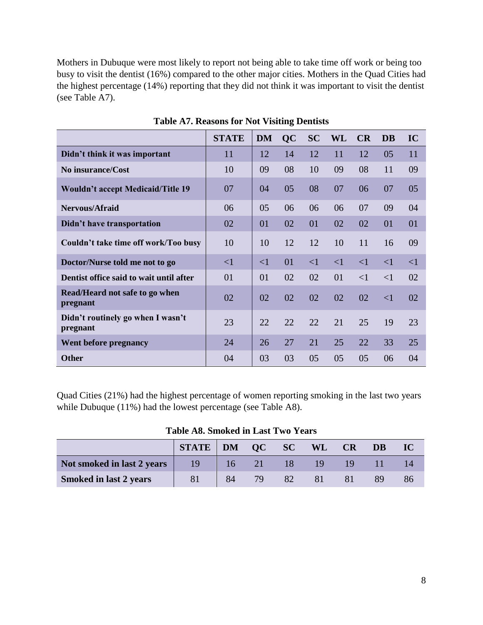Mothers in Dubuque were most likely to report not being able to take time off work or being too busy to visit the dentist (16%) compared to the other major cities. Mothers in the Quad Cities had the highest percentage (14%) reporting that they did not think it was important to visit the dentist (see Table A7).

|                                               | <b>STATE</b> | <b>DM</b> | QC | <b>SC</b> | <b>WL</b> | CR       | <b>DB</b> | IC       |
|-----------------------------------------------|--------------|-----------|----|-----------|-----------|----------|-----------|----------|
| Didn't think it was important                 | 11           | 12        | 14 | 12        | 11        | 12       | 05        | 11       |
| No insurance/Cost                             | 10           | 09        | 08 | 10        | 09        | 08       | 11        | 09       |
| <b>Wouldn't accept Medicaid/Title 19</b>      | 07           | 04        | 05 | 08        | 07        | 06       | 07        | 05       |
| Nervous/Afraid                                | 06           | 05        | 06 | 06        | 06        | 07       | 09        | 04       |
| Didn't have transportation                    | 02           | 01        | 02 | 01        | 02        | 02       | 01        | 01       |
| Couldn't take time off work/Too busy          | 10           | 10        | 12 | 12        | 10        | 11       | 16        | 09       |
| Doctor/Nurse told me not to go                | $\leq$ 1     | $\leq$ 1  | 01 | $\leq$ 1  | $\leq$ 1  | $\leq$ 1 | $\leq$ 1  | $\leq$ 1 |
| Dentist office said to wait until after       | 01           | 01        | 02 | 02        | 01        | $\leq$ 1 | $\leq$ 1  | 02       |
| Read/Heard not safe to go when<br>pregnant    | 02           | 02        | 02 | 02        | 02        | 02       | $\leq$ 1  | 02       |
| Didn't routinely go when I wasn't<br>pregnant | 23           | 22        | 22 | 22        | 21        | 25       | 19        | 23       |
| Went before pregnancy                         | 24           | 26        | 27 | 21        | 25        | 22       | 33        | 25       |
| <b>Other</b>                                  | 04           | 03        | 03 | 05        | 05        | 05       | 06        | 04       |

**Table A7. Reasons for Not Visiting Dentists**

Quad Cities (21%) had the highest percentage of women reporting smoking in the last two years while Dubuque (11%) had the lowest percentage (see Table A8).

**Table A8. Smoked in Last Two Years**

|                               | <b>STATE</b>   DM |    | $\sim$ OC | SC | WL  | <b>CR</b> | <b>DB</b> | IC |
|-------------------------------|-------------------|----|-----------|----|-----|-----------|-----------|----|
| Not smoked in last 2 years    |                   | 16 |           | 18 | 19. | 19        |           |    |
| <b>Smoked in last 2 years</b> |                   | 84 | 79.       |    |     |           |           |    |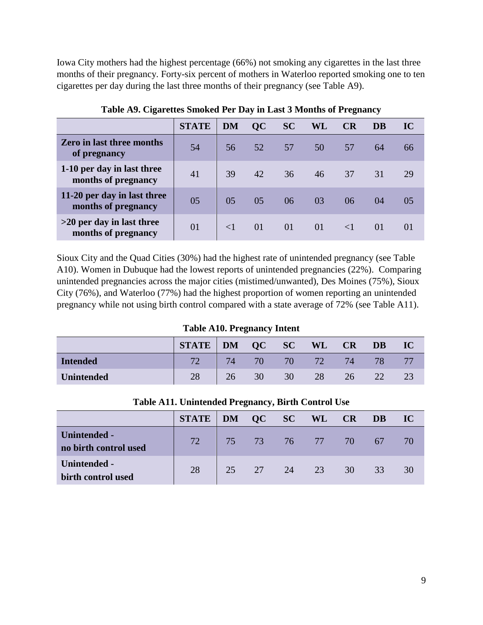Iowa City mothers had the highest percentage (66%) not smoking any cigarettes in the last three months of their pregnancy. Forty-six percent of mothers in Waterloo reported smoking one to ten cigarettes per day during the last three months of their pregnancy (see Table A9).

|                                                    | <b>STATE</b> | <b>DM</b> | QC | <b>SC</b> | WL | <b>CR</b> | <b>DB</b> | IC       |
|----------------------------------------------------|--------------|-----------|----|-----------|----|-----------|-----------|----------|
| <b>Zero in last three months</b><br>of pregnancy   | 54           | 56        | 52 | 57        | 50 | 57        | 64        | 66       |
| 1-10 per day in last three<br>months of pregnancy  | 41           | 39        | 42 | 36        | 46 | 37        | 31        | 29       |
| 11-20 per day in last three<br>months of pregnancy | 05           | 05        | 05 | 06        | 03 | 06        | 04        | 05       |
| $>20$ per day in last three<br>months of pregnancy | 01           |           | 01 | 01        | 01 |           | $\Omega$  | $\Omega$ |

**Table A9. Cigarettes Smoked Per Day in Last 3 Months of Pregnancy**

Sioux City and the Quad Cities (30%) had the highest rate of unintended pregnancy (see Table A10). Women in Dubuque had the lowest reports of unintended pregnancies (22%). Comparing unintended pregnancies across the major cities (mistimed/unwanted), Des Moines (75%), Sioux City (76%), and Waterloo (77%) had the highest proportion of women reporting an unintended pregnancy while not using birth control compared with a state average of 72% (see Table A11).

**Table A10. Pregnancy Intent**

|                   | <b>STATE</b> | <b>DM</b> | OC | <b>SC</b>       | <b>WL</b> | CR | <b>DB</b> | IC |
|-------------------|--------------|-----------|----|-----------------|-----------|----|-----------|----|
| <b>Intended</b>   | 70           | 74.       | 70 | 70 <sub>1</sub> | 72        |    |           |    |
| <b>Unintended</b> | 28           |           | 30 | 30              | 28        |    |           |    |

|                                              | STATE   DM QC SC WL CR DB |    |    |    |             |                 |     | $\bf IC$ |
|----------------------------------------------|---------------------------|----|----|----|-------------|-----------------|-----|----------|
| <b>Unintended -</b><br>no birth control used | 72                        |    |    |    | 75 73 76 77 | 70 <sub>l</sub> | -67 | 70       |
| Unintended -<br>birth control used           | 28                        | 25 | 27 | 24 | 23          | 30              | 33  | 30       |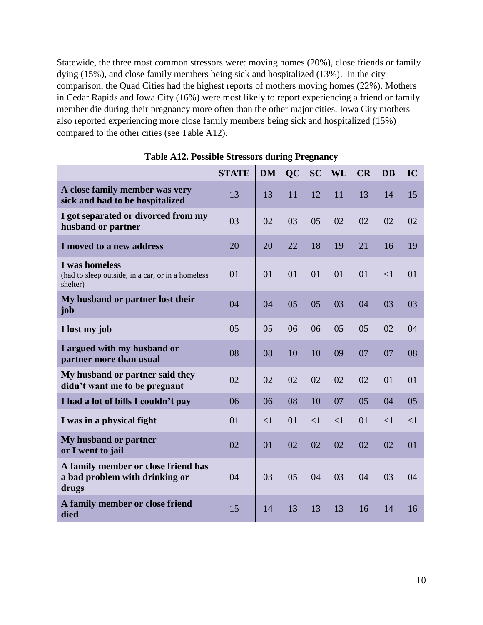Statewide, the three most common stressors were: moving homes (20%), close friends or family dying (15%), and close family members being sick and hospitalized (13%). In the city comparison, the Quad Cities had the highest reports of mothers moving homes (22%). Mothers in Cedar Rapids and Iowa City (16%) were most likely to report experiencing a friend or family member die during their pregnancy more often than the other major cities. Iowa City mothers also reported experiencing more close family members being sick and hospitalized (15%) compared to the other cities (see Table A12).

|                                                                                 | <b>STATE</b> | <b>DM</b> | <b>QC</b> | <b>SC</b> | <b>WL</b> | CR | <b>DB</b> | IC       |
|---------------------------------------------------------------------------------|--------------|-----------|-----------|-----------|-----------|----|-----------|----------|
| A close family member was very<br>sick and had to be hospitalized               | 13           | 13        | 11        | 12        | 11        | 13 | 14        | 15       |
| I got separated or divorced from my<br>husband or partner                       | 03           | 02        | 03        | 05        | 02        | 02 | 02        | 02       |
| I moved to a new address                                                        | 20           | 20        | 22        | 18        | 19        | 21 | 16        | 19       |
| I was homeless<br>(had to sleep outside, in a car, or in a homeless<br>shelter) | 01           | 01        | 01        | 01        | 01        | 01 | $\leq$ 1  | 01       |
| My husband or partner lost their<br>job                                         | 04           | 04        | 05        | 05        | 03        | 04 | 03        | 03       |
| I lost my job                                                                   | 05           | 05        | 06        | 06        | 05        | 05 | 02        | 04       |
| I argued with my husband or<br>partner more than usual                          | 08           | 08        | 10        | 10        | 09        | 07 | 07        | 08       |
| My husband or partner said they<br>didn't want me to be pregnant                | 02           | 02        | 02        | 02        | 02        | 02 | 01        | 01       |
| I had a lot of bills I couldn't pay                                             | 06           | 06        | 08        | 10        | 07        | 05 | 04        | 05       |
| I was in a physical fight                                                       | 01           | $\leq$ 1  | 01        | $\leq$ 1  | $\leq$ 1  | 01 | $\leq$ 1  | $\leq$ 1 |
| My husband or partner<br>or I went to jail                                      | 02           | 01        | 02        | 02        | 02        | 02 | 02        | 01       |
| A family member or close friend has<br>a bad problem with drinking or<br>drugs  | 04           | 03        | 05        | 04        | 03        | 04 | 03        | 04       |
| A family member or close friend<br>died                                         | 15           | 14        | 13        | 13        | 13        | 16 | 14        | 16       |

**Table A12. Possible Stressors during Pregnancy**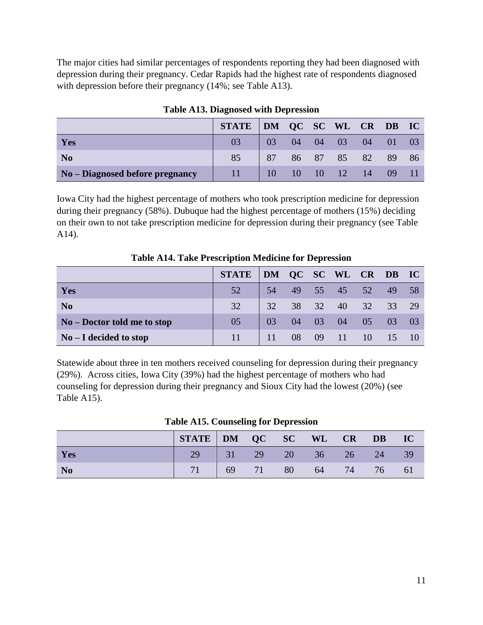The major cities had similar percentages of respondents reporting they had been diagnosed with depression during their pregnancy. Cedar Rapids had the highest rate of respondents diagnosed with depression before their pregnancy (14%; see Table A13).

|                                 | STATE DM QC SC WL CR DB IC |                 |            |          |                        |                 |      |  |
|---------------------------------|----------------------------|-----------------|------------|----------|------------------------|-----------------|------|--|
| Yes                             |                            | 03 <sup>2</sup> | $04$ 04 03 |          |                        | 04              | - 01 |  |
| N <sub>0</sub>                  | 85                         | 87              |            | 86 87 85 |                        | 82              | -89  |  |
| No - Diagnosed before pregnancy | 11                         |                 |            |          | $10 \t 10 \t 10 \t 12$ | $\frac{14}{14}$ | -09  |  |

**Table A13. Diagnosed with Depression**

Iowa City had the highest percentage of mothers who took prescription medicine for depression during their pregnancy (58%). Dubuque had the highest percentage of mothers (15%) deciding on their own to not take prescription medicine for depression during their pregnancy (see Table A14).

|                               | <b>STATE</b> | DM QC SC WL CR DB IC |    |          |       |    |     |      |
|-------------------------------|--------------|----------------------|----|----------|-------|----|-----|------|
| Yes                           | 52           | 54                   |    | 49 55 45 |       | 52 | 49  | - 58 |
| N <sub>0</sub>                | 32           | 32                   | 38 | 32       | $-40$ | 32 | 33  | -29  |
| $No - Doctor$ told me to stop | 05           | 03                   | 04 | 03       | 04    | 05 | 03  | -03  |
| $No-I decided to stop$        | 11           | 11                   | 08 |          | 09 11 | 10 | -15 |      |

**Table A14. Take Prescription Medicine for Depression**

Statewide about three in ten mothers received counseling for depression during their pregnancy (29%). Across cities, Iowa City (39%) had the highest percentage of mothers who had counseling for depression during their pregnancy and Sioux City had the lowest (20%) (see Table A15).

|           | STATE DM QC SC WL CR DB IC |  |                         |       |     |
|-----------|----------------------------|--|-------------------------|-------|-----|
| Yes       |                            |  | 29 31 29 20 36 26 24 39 |       |     |
| <b>No</b> |                            |  | 71   69 71 80 64        | 74 76 | -61 |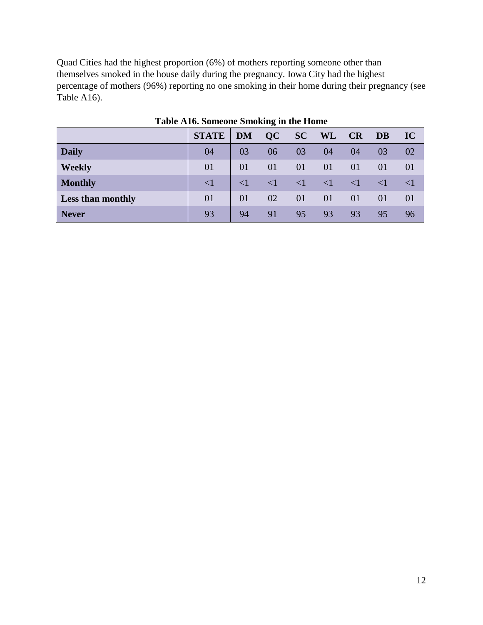Quad Cities had the highest proportion (6%) of mothers reporting someone other than themselves smoked in the house daily during the pregnancy. Iowa City had the highest percentage of mothers (96%) reporting no one smoking in their home during their pregnancy (see Table A16).

|                          | <b>STATE</b> | <b>DM</b>   | QC          | <b>SC</b> | <b>WL</b> | CR       | <b>DB</b> | IC     |
|--------------------------|--------------|-------------|-------------|-----------|-----------|----------|-----------|--------|
| <b>Daily</b>             | 04           | 03          | 06          | 03        | 04        | 04       | 03        | 02     |
| <b>Weekly</b>            | 01           | 01          | 01          | 01        | 01        | 01       | 01        | 01     |
| <b>Monthly</b>           | $\leq$ 1     | $\langle$ 1 | $\langle$ 1 | $\leq$ 1  | $\leq$ 1  | $\leq$ 1 | $\leq$ 1  | $\leq$ |
| <b>Less than monthly</b> | 01           | 01          | 02          | 01        | 01        | 01       | 01        | 01     |
| <b>Never</b>             | 93           | 94          | 91          | 95        | 93        | 93       | 95        | 96     |

**Table A16. Someone Smoking in the Home**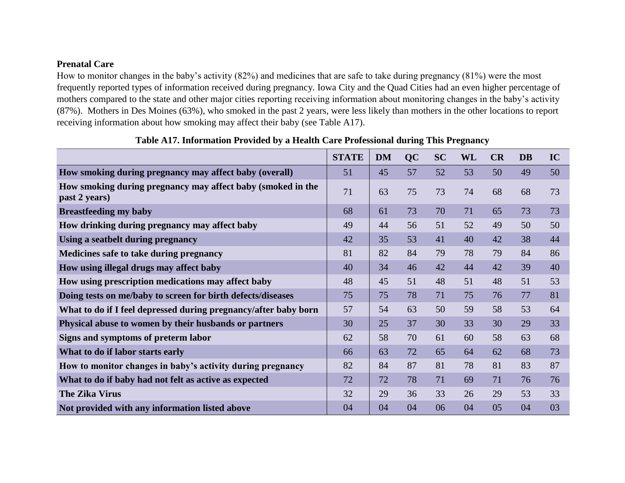# **Prenatal Care**

How to monitor changes in the baby's activity (82%) and medicines that are safe to take during pregnancy (81%) were the most frequently reported types of information received during pregnancy. Iowa City and the Quad Cities had an even higher percentage of mothers compared to the state and other major cities reporting receiving information about monitoring changes in the baby's activity (87%). Mothers in Des Moines (63%), who smoked in the past 2 years, were less likely than mothers in the other locations to report receiving information about how smoking may affect their baby (see Table A17).

|                                                                              | <b>STATE</b> | <b>DM</b> | <b>QC</b> | <b>SC</b> | WL | CR | <b>DB</b> | IC |
|------------------------------------------------------------------------------|--------------|-----------|-----------|-----------|----|----|-----------|----|
| How smoking during pregnancy may affect baby (overall)                       | 51           | 45        | 57        | 52        | 53 | 50 | 49        | 50 |
| How smoking during pregnancy may affect baby (smoked in the<br>past 2 years) | 71           | 63        | 75        | 73        | 74 | 68 | 68        | 73 |
| <b>Breastfeeding my baby</b>                                                 | 68           | 61        | 73        | 70        | 71 | 65 | 73        | 73 |
| How drinking during pregnancy may affect baby                                | 49           | 44        | 56        | 51        | 52 | 49 | 50        | 50 |
| Using a seatbelt during pregnancy                                            | 42           | 35        | 53        | 41        | 40 | 42 | 38        | 44 |
| Medicines safe to take during pregnancy                                      | 81           | 82        | 84        | 79        | 78 | 79 | 84        | 86 |
| How using illegal drugs may affect baby                                      | 40           | 34        | 46        | 42        | 44 | 42 | 39        | 40 |
| How using prescription medications may affect baby                           | 48           | 45        | 51        | 48        | 51 | 48 | 51        | 53 |
| Doing tests on me/baby to screen for birth defects/diseases                  | 75           | 75        | 78        | 71        | 75 | 76 | 77        | 81 |
| What to do if I feel depressed during pregnancy/after baby born              | 57           | 54        | 63        | 50        | 59 | 58 | 53        | 64 |
| Physical abuse to women by their husbands or partners                        | 30           | 25        | 37        | 30        | 33 | 30 | 29        | 33 |
| Signs and symptoms of preterm labor                                          | 62           | 58        | 70        | 61        | 60 | 58 | 63        | 68 |
| What to do if labor starts early                                             | 66           | 63        | 72        | 65        | 64 | 62 | 68        | 73 |
| How to monitor changes in baby's activity during pregnancy                   | 82           | 84        | 87        | 81        | 78 | 81 | 83        | 87 |
| What to do if baby had not felt as active as expected                        | 72           | 72        | 78        | 71        | 69 | 71 | 76        | 76 |
| <b>The Zika Virus</b>                                                        | 32           | 29        | 36        | 33        | 26 | 29 | 53        | 33 |
| Not provided with any information listed above                               | 04           | 04        | 04        | 06        | 04 | 05 | 04        | 03 |

**Table A17. Information Provided by a Health Care Professional during This Pregnancy**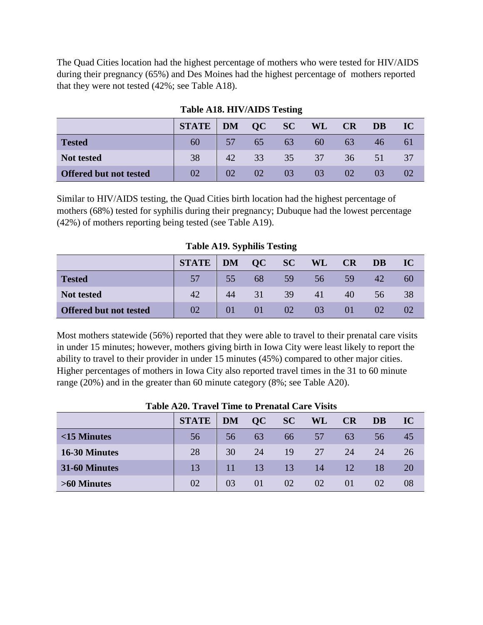The Quad Cities location had the highest percentage of mothers who were tested for HIV/AIDS during their pregnancy (65%) and Des Moines had the highest percentage of mothers reported that they were not tested (42%; see Table A18).

|                               | <b>STATE</b>   DM |    | OC | SC | <b>WL</b>       | CR              | <b>DB</b> | IC |
|-------------------------------|-------------------|----|----|----|-----------------|-----------------|-----------|----|
| <b>Tested</b>                 | 60                | 57 | 65 | 63 | 60              | 63              | 46.       |    |
| Not tested                    | 38                | 42 | 33 | 35 | 37 <sup>°</sup> | 36 <sup>7</sup> | 51        |    |
| <b>Offered but not tested</b> | 02                | 02 | 02 | 03 | 03              |                 |           |    |

# **Table A18. HIV/AIDS Testing**

Similar to HIV/AIDS testing, the Quad Cities birth location had the highest percentage of mothers (68%) tested for syphilis during their pregnancy; Dubuque had the lowest percentage (42%) of mothers reporting being tested (see Table A19).

|                               | STATE   DM QC SC |    |    |    | WL CR |    | <b>DB</b> | IC |
|-------------------------------|------------------|----|----|----|-------|----|-----------|----|
| <b>Tested</b>                 |                  | 55 | 68 | 59 | 56    | 59 | 42        | 60 |
| <b>Not tested</b>             | 42               | 44 | 31 | 39 | 41    | 40 | 56        | 38 |
| <b>Offered but not tested</b> | 02               | 01 | 01 | 02 | 03    | 01 | 02        | 02 |

**Table A19. Syphilis Testing**

Most mothers statewide (56%) reported that they were able to travel to their prenatal care visits in under 15 minutes; however, mothers giving birth in Iowa City were least likely to report the ability to travel to their provider in under 15 minutes (45%) compared to other major cities. Higher percentages of mothers in Iowa City also reported travel times in the 31 to 60 minute range (20%) and in the greater than 60 minute category (8%; see Table A20).

|                | <b>STATE</b> | <b>DM</b> | OC | SC | WL | <b>CR</b> | <b>DB</b> | IC |  |  |
|----------------|--------------|-----------|----|----|----|-----------|-----------|----|--|--|
| $<$ 15 Minutes | 56           | 56        | 63 | 66 | 57 | 63        | 56        | 45 |  |  |
| 16-30 Minutes  | 28           | 30        | 24 | 19 | 27 | 24        | 24        | 26 |  |  |
| 31-60 Minutes  | 13           | 11        | 13 | 13 | 14 | 12        | 18        | 20 |  |  |
| >60 Minutes    | 02           | 03        | 01 | 02 | 02 | $\Omega$  | 02        | 08 |  |  |

## **Table A20. Travel Time to Prenatal Care Visits**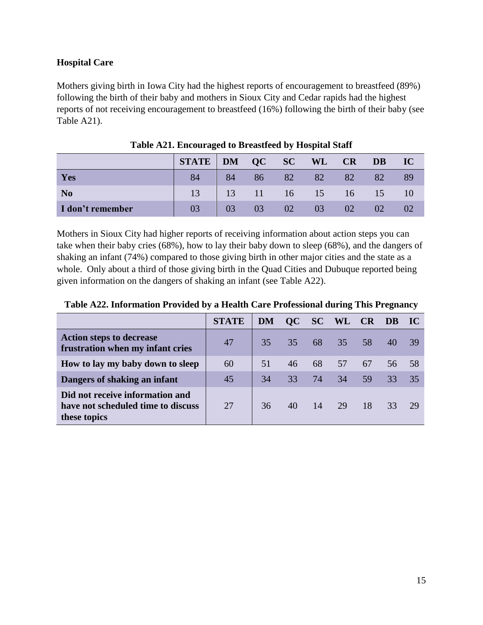# **Hospital Care**

Mothers giving birth in Iowa City had the highest reports of encouragement to breastfeed (89%) following the birth of their baby and mothers in Sioux City and Cedar rapids had the highest reports of not receiving encouragement to breastfeed (16%) following the birth of their baby (see Table A21).

|                  | <b>STATE</b>   DM |    | $QC$ SC |    | WL         | <b>CR</b> | <b>DB</b> | IC |
|------------------|-------------------|----|---------|----|------------|-----------|-----------|----|
| Yes              | 84                | 84 | 86      | 82 | 82         | 82        | 82        | 89 |
| N <sub>0</sub>   | 13                | 13 | 11      |    | $16 \t 15$ | 16        | 15        | 10 |
| I don't remember | 03                | 03 | 03      | 02 | 03         | 02        | 02        |    |

**Table A21. Encouraged to Breastfeed by Hospital Staff**

Mothers in Sioux City had higher reports of receiving information about action steps you can take when their baby cries (68%), how to lay their baby down to sleep (68%), and the dangers of shaking an infant (74%) compared to those giving birth in other major cities and the state as a whole. Only about a third of those giving birth in the Quad Cities and Dubuque reported being given information on the dangers of shaking an infant (see Table A22).

|                                                                                       | <b>STATE</b> | <b>DM</b> |    |     | QC SC WL        | CR | DB | $\bf IC$ |
|---------------------------------------------------------------------------------------|--------------|-----------|----|-----|-----------------|----|----|----------|
| <b>Action steps to decrease</b><br>frustration when my infant cries                   | 47           | 35        | 35 | 68  | 35 <sup>7</sup> | 58 | 40 | 39       |
| How to lay my baby down to sleep                                                      | 60           | 51        | 46 | 68  | 57              | 67 | 56 | .58      |
| Dangers of shaking an infant                                                          | 45           | 34        | 33 | 74  | 34              | 59 | 33 | 35       |
| Did not receive information and<br>have not scheduled time to discuss<br>these topics | 27           | 36        | 40 | -14 | 29              | 18 | 33 | 29       |

**Table A22. Information Provided by a Health Care Professional during This Pregnancy**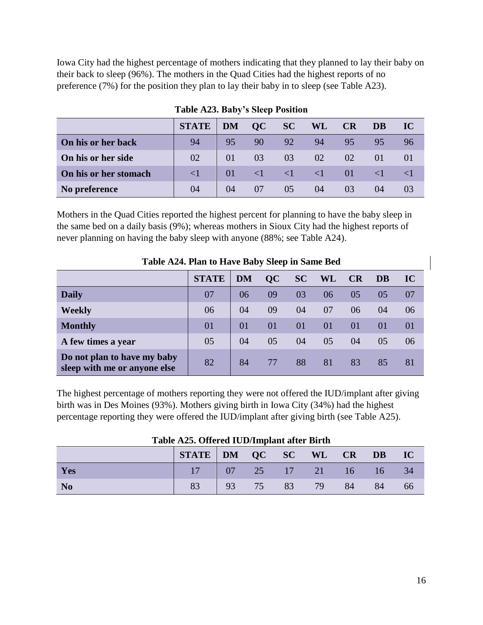Iowa City had the highest percentage of mothers indicating that they planned to lay their baby on their back to sleep (96%). The mothers in the Quad Cities had the highest reports of no preference (7%) for the position they plan to lay their baby in to sleep (see Table A23).

|                       | <b>STATE</b> | <b>DM</b> | OC | SC       | <b>WL</b> | CR              | DB | IC |
|-----------------------|--------------|-----------|----|----------|-----------|-----------------|----|----|
| On his or her back    | 94           | 95        | 90 | 92       | 94        | 95              | 95 |    |
| On his or her side    | 02           | 01        | 03 | 03       | 02        | 02              | 01 |    |
| On his or her stomach | $\leq$ 1     | 01        |    | $\leq 1$ | $\leq$ 1  | $\overline{01}$ |    |    |
| No preference         | 04           | 04        | 07 |          | 04        |                 | 04 |    |

**Table A23. Baby's Sleep Position**

Mothers in the Quad Cities reported the highest percent for planning to have the baby sleep in the same bed on a daily basis (9%); whereas mothers in Sioux City had the highest reports of never planning on having the baby sleep with anyone (88%; see Table A24).

|                                                             | Table A2+. I lan to thave baby bleep in banne bea |           |    |            |           |    |    |    |  |  |  |  |  |  |
|-------------------------------------------------------------|---------------------------------------------------|-----------|----|------------|-----------|----|----|----|--|--|--|--|--|--|
|                                                             | <b>STATE</b>                                      | <b>DM</b> | QC | <b>SC</b>  | <b>WL</b> | CR | DB | IC |  |  |  |  |  |  |
| <b>Daily</b>                                                | 07                                                | 06        | 09 | 03         | 06        | 05 | 05 | 07 |  |  |  |  |  |  |
| <b>Weekly</b>                                               | 06                                                | 04        | 09 | 04         | 07        | 06 | 04 | 06 |  |  |  |  |  |  |
| <b>Monthly</b>                                              | 01                                                | 01        | 01 | $\Omega$ 1 | $\Omega$  | 01 | 01 | 01 |  |  |  |  |  |  |
| A few times a year                                          | 05                                                | 04        | 05 | 04         | 05        | 04 | 05 | 06 |  |  |  |  |  |  |
| Do not plan to have my baby<br>sleep with me or anyone else | 82                                                | 84        | 77 | 88         | 81        | 83 | 85 | 81 |  |  |  |  |  |  |

**Table A24. Plan to Have Baby Sleep in Same Bed**

The highest percentage of mothers reporting they were not offered the IUD/implant after giving birth was in Des Moines (93%). Mothers giving birth in Iowa City (34%) had the highest percentage reporting they were offered the IUD/implant after giving birth (see Table A25).

|           | STATE DM QC SC WL CR DB IC |  |                                            |    |       |    |    |    |  |  |  |  |  |
|-----------|----------------------------|--|--------------------------------------------|----|-------|----|----|----|--|--|--|--|--|
| Yes       |                            |  |                                            |    |       |    |    | 34 |  |  |  |  |  |
| <b>No</b> | 83                         |  | $\begin{array}{ c c } 93 & 75 \end{array}$ | 83 | $-79$ | 84 | 84 | 66 |  |  |  |  |  |

**Table A25. Offered IUD/Implant after Birth**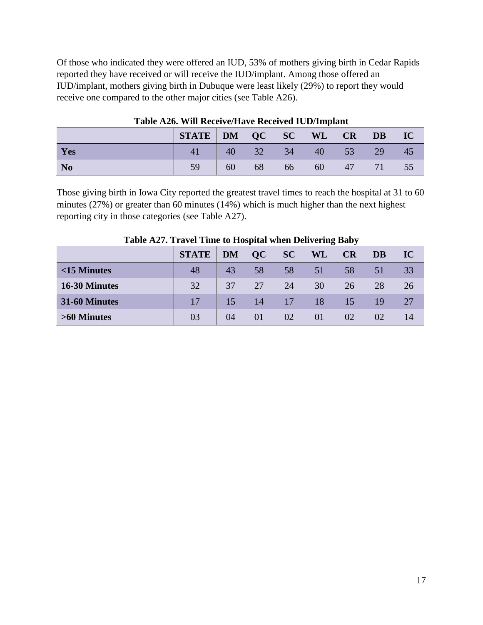Of those who indicated they were offered an IUD, 53% of mothers giving birth in Cedar Rapids reported they have received or will receive the IUD/implant. Among those offered an IUD/implant, mothers giving birth in Dubuque were least likely (29%) to report they would receive one compared to the other major cities (see Table A26).

|                | STATE DM QC SC WL CR DB IC |                |       |    |          |                 |      |
|----------------|----------------------------|----------------|-------|----|----------|-----------------|------|
| Yes            | 41                         |                | 40 32 |    | 34 40 53 | 29 <sub>1</sub> | 45   |
| N <sub>o</sub> |                            | $\parallel$ 60 | $-68$ | 66 | 60       | 47 71           | - 55 |

**Table A26. Will Receive/Have Received IUD/Implant**

Those giving birth in Iowa City reported the greatest travel times to reach the hospital at 31 to 60 minutes (27%) or greater than 60 minutes (14%) which is much higher than the next highest reporting city in those categories (see Table A27).

|                |              | 0<br>$\overline{\phantom{a}}$ |    |    |    |           |    |    |
|----------------|--------------|-------------------------------|----|----|----|-----------|----|----|
|                | <b>STATE</b> | <b>DM</b>                     | OC | SC | WL | <b>CR</b> | DB | IC |
| $<$ 15 Minutes | 48           | 43                            | 58 | 58 | 51 | 58        | 51 | 33 |
| 16-30 Minutes  | 32           | 37                            | 27 | 24 | 30 | 26        | 28 | 26 |
| 31-60 Minutes  | 17           | 15                            | 14 | 17 | 18 | 15        | 19 | 27 |
| >60 Minutes    | 03           | 04                            | 01 | 02 | 01 | 02        | 02 | 14 |

**Table A27. Travel Time to Hospital when Delivering Baby**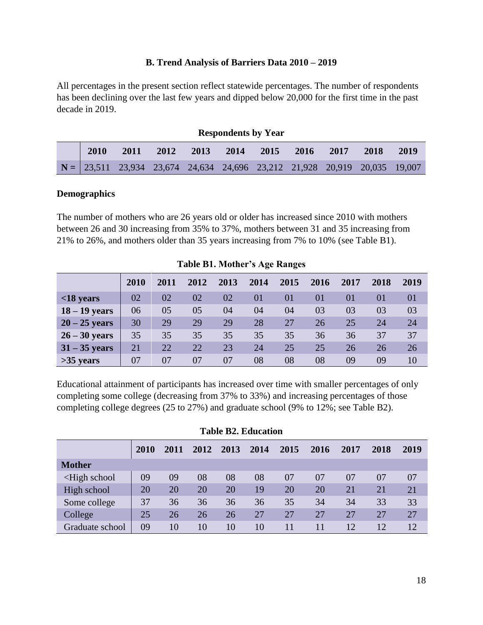## **B. Trend Analysis of Barriers Data 2010 – 2019**

All percentages in the present section reflect statewide percentages. The number of respondents has been declining over the last few years and dipped below 20,000 for the first time in the past decade in 2019.

|      |                                                                                                                             |      |      | <b>Respondents by Year</b> |      |         |      |      |      |
|------|-----------------------------------------------------------------------------------------------------------------------------|------|------|----------------------------|------|---------|------|------|------|
| 2010 | 2011                                                                                                                        | 2012 | 2013 | 2014                       | 2015 | $-2016$ | 2017 | 2018 | 2019 |
|      | $N = \begin{bmatrix} 23,511 & 23,934 & 23,674 & 24,634 & 24,696 & 23,212 & 21,928 & 20,919 & 20,035 & 19,007 \end{bmatrix}$ |      |      |                            |      |         |      |      |      |

#### **Demographics**

The number of mothers who are 26 years old or older has increased since 2010 with mothers between 26 and 30 increasing from 35% to 37%, mothers between 31 and 35 increasing from 21% to 26%, and mothers older than 35 years increasing from 7% to 10% (see Table B1).

|                 |             |      |      |      |      |      | $1.0010$ D II $1.100$ and $0.11$ $1.100$ and $1.00$ |      |      |      |  |  |  |  |  |  |  |  |
|-----------------|-------------|------|------|------|------|------|-----------------------------------------------------|------|------|------|--|--|--|--|--|--|--|--|
|                 | <b>2010</b> | 2011 | 2012 | 2013 | 2014 | 2015 | 2016                                                | 2017 | 2018 | 2019 |  |  |  |  |  |  |  |  |
| $<$ 18 years    | 02          | 02   | 02   | 02   | 01   | 01   | 01                                                  | 01   | 01   | 01   |  |  |  |  |  |  |  |  |
| $18 - 19$ years | 06          | 05   | 05   | 04   | 04   | 04   | 03                                                  | 03   | 03   | 03   |  |  |  |  |  |  |  |  |
| $20 - 25$ years | 30          | 29   | 29   | 29   | 28   | 27   | 26                                                  | 25   | 24   | 24   |  |  |  |  |  |  |  |  |
| $26 - 30$ years | 35          | 35   | 35   | 35   | 35   | 35   | 36                                                  | 36   | 37   | 37   |  |  |  |  |  |  |  |  |
| $31 - 35$ years | 21          | 22   | 22   | 23   | 24   | 25   | 25                                                  | 26   | 26   | 26   |  |  |  |  |  |  |  |  |
| $>35$ years     | 07          | 07   | 07   | 07   | 08   | 08   | 08                                                  | 09   | 09   | 10   |  |  |  |  |  |  |  |  |

**Table B1. Mother's Age Ranges**

Educational attainment of participants has increased over time with smaller percentages of only completing some college (decreasing from 37% to 33%) and increasing percentages of those completing college degrees (25 to 27%) and graduate school (9% to 12%; see Table B2).

|                                                                                                                                              | 2010 | 2011 | 2012 | 2013 | 2014 | 2015 | 2016 | 2017            | 2018 | 2019 |
|----------------------------------------------------------------------------------------------------------------------------------------------|------|------|------|------|------|------|------|-----------------|------|------|
| <b>Mother</b>                                                                                                                                |      |      |      |      |      |      |      |                 |      |      |
| <high school<="" td=""><td>09</td><td>09</td><td>08</td><td>08</td><td>08</td><td>07</td><td>07</td><td>07</td><td>07</td><td>07</td></high> | 09   | 09   | 08   | 08   | 08   | 07   | 07   | 07              | 07   | 07   |
| High school                                                                                                                                  | 20   | 20   | 20   | 20   | 19   | 20   | 20   | 21              | 21   | 21   |
| Some college                                                                                                                                 | 37   | 36   | 36   | 36   | 36   | 35   | 34   | 34              | 33   | 33   |
| College                                                                                                                                      | 25   | 26   | 26   | 26   | 27   | 27   | 27   | 27              | 27   | 27   |
| Graduate school                                                                                                                              | 09   | 10   | 10   | 10   | 10   | 11   | 11   | 12 <sub>1</sub> | 12   | 12   |

|  |  | <b>Table B2. Education</b> |
|--|--|----------------------------|
|--|--|----------------------------|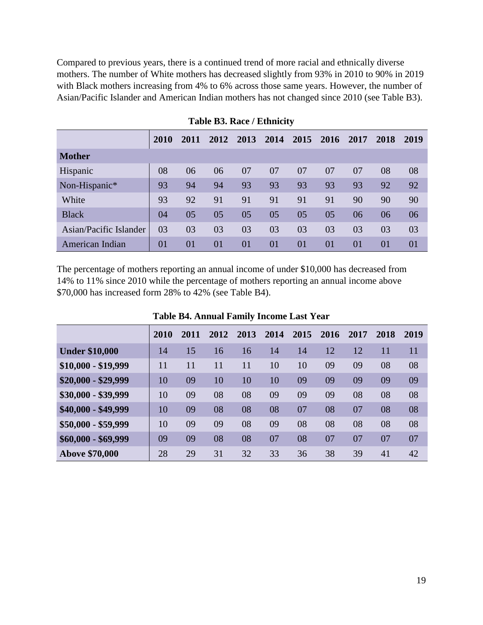Compared to previous years, there is a continued trend of more racial and ethnically diverse mothers. The number of White mothers has decreased slightly from 93% in 2010 to 90% in 2019 with Black mothers increasing from 4% to 6% across those same years. However, the number of Asian/Pacific Islander and American Indian mothers has not changed since 2010 (see Table B3).

|                        | 2010 | 2011 | 2012 | 2013 | 2014 | 2015 | 2016 | 2017 | 2018 | 2019 |
|------------------------|------|------|------|------|------|------|------|------|------|------|
| <b>Mother</b>          |      |      |      |      |      |      |      |      |      |      |
| Hispanic               | 08   | 06   | 06   | 07   | 07   | 07   | 07   | 07   | 08   | 08   |
| Non-Hispanic*          | 93   | 94   | 94   | 93   | 93   | 93   | 93   | 93   | 92   | 92   |
| White                  | 93   | 92   | 91   | 91   | 91   | 91   | 91   | 90   | 90   | 90   |
| <b>Black</b>           | 04   | 05   | 05   | 05   | 05   | 05   | 05   | 06   | 06   | 06   |
| Asian/Pacific Islander | 03   | 03   | 03   | 03   | 03   | 03   | 03   | 03   | 03   | 03   |
| American Indian        | 01   | 01   | 01   | 01   | 01   | 01   | 01   | 01   | 01   | 01   |

**Table B3. Race / Ethnicity**

The percentage of mothers reporting an annual income of under \$10,000 has decreased from 14% to 11% since 2010 while the percentage of mothers reporting an annual income above \$70,000 has increased form 28% to 42% (see Table B4).

|                       | 2010 | 2011 | 2012 | 2013 | 2014 | 2015 | 2016 | 2017 | 2018 | 2019 |
|-----------------------|------|------|------|------|------|------|------|------|------|------|
| <b>Under \$10,000</b> | 14   | 15   | 16   | 16   | 14   | 14   | 12   | 12   | 11   | 11   |
| $$10,000 - $19,999$   | 11   | 11   | 11   | 11   | 10   | 10   | 09   | 09   | 08   | 08   |
| $$20,000 - $29,999$   | 10   | 09   | 10   | 10   | 10   | 09   | 09   | 09   | 09   | 09   |
| \$30,000 - \$39,999   | 10   | 09   | 08   | 08   | 09   | 09   | 09   | 08   | 08   | 08   |
| \$40,000 - \$49,999   | 10   | 09   | 08   | 08   | 08   | 07   | 08   | 07   | 08   | 08   |
| \$50,000 - \$59,999   | 10   | 09   | 09   | 08   | 09   | 08   | 08   | 08   | 08   | 08   |
| $$60,000 - $69,999$   | 09   | 09   | 08   | 08   | 07   | 08   | 07   | 07   | 07   | 07   |
| <b>Above \$70,000</b> | 28   | 29   | 31   | 32   | 33   | 36   | 38   | 39   | 41   | 42   |

**Table B4. Annual Family Income Last Year**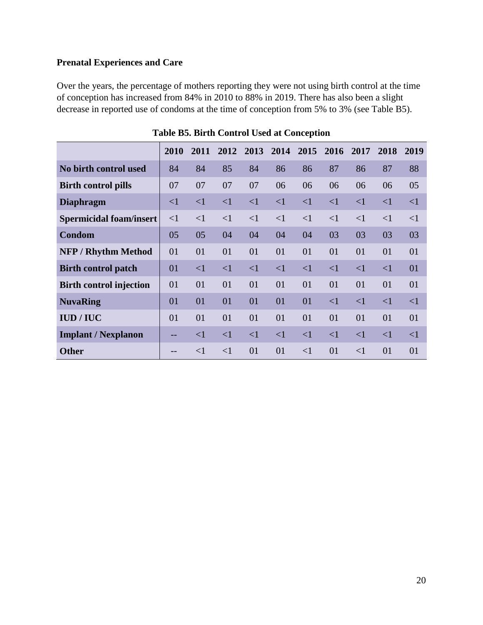# **Prenatal Experiences and Care**

Over the years, the percentage of mothers reporting they were not using birth control at the time of conception has increased from 84% in 2010 to 88% in 2019. There has also been a slight decrease in reported use of condoms at the time of conception from 5% to 3% (see Table B5).

|                                | 2010     | 2011     | 2012     | 2013     | 2014     | 2015     | 2016     | 2017     | 2018     | 2019     |
|--------------------------------|----------|----------|----------|----------|----------|----------|----------|----------|----------|----------|
| No birth control used          | 84       | 84       | 85       | 84       | 86       | 86       | 87       | 86       | 87       | 88       |
| <b>Birth control pills</b>     | 07       | 07       | 07       | 07       | 06       | 06       | 06       | 06       | 06       | 05       |
| <b>Diaphragm</b>               | $\leq$ 1 | $\leq$ 1 | $\leq$ 1 | $\leq$ 1 | $\leq$ 1 | $\leq$ 1 | $\leq$ 1 | $\leq$ 1 | $\leq$ 1 | $\leq$ 1 |
| <b>Spermicidal foam/insert</b> | $\leq$ 1 | $\leq$ 1 | $\leq$ 1 | $\leq$ 1 | $\leq$ 1 | $\leq$ 1 | $\leq$ 1 | $\leq$ 1 | $\leq$ 1 | $\leq$ 1 |
| Condom                         | 05       | 05       | 04       | 04       | 04       | 04       | 03       | 03       | 03       | 03       |
| <b>NFP / Rhythm Method</b>     | 01       | 01       | 01       | 01       | 01       | 01       | 01       | 01       | 01       | 01       |
| <b>Birth control patch</b>     | 01       | $\leq$ 1 | $\leq$ 1 | $\leq$ 1 | $\leq$ 1 | $\leq$ 1 | $\leq$ 1 | $\leq$ 1 | $\leq$ 1 | 01       |
| <b>Birth control injection</b> | 01       | 01       | 01       | 01       | 01       | 01       | 01       | 01       | 01       | 01       |
| <b>NuvaRing</b>                | 01       | 01       | 01       | 01       | 01       | 01       | $\leq$ 1 | $\leq$ 1 | $\leq$ 1 | $\leq$ 1 |
| IUD/IUC                        | 01       | 01       | 01       | 01       | 01       | 01       | 01       | 01       | 01       | 01       |
| <b>Implant / Nexplanon</b>     | --       | $\leq$ 1 | $\leq$ 1 | $\leq$ 1 | $\leq$ 1 | $\leq$ 1 | $\leq$ 1 | $\leq$ 1 | $\leq$ 1 | $\leq$ 1 |
| <b>Other</b>                   |          | $\leq$ 1 | $\leq$ 1 | 01       | 01       | $\leq$ 1 | 01       | $\leq$ 1 | 01       | 01       |

**Table B5. Birth Control Used at Conception**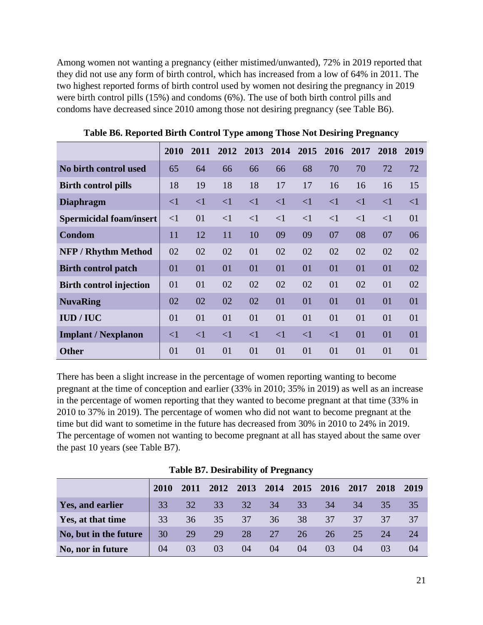Among women not wanting a pregnancy (either mistimed/unwanted), 72% in 2019 reported that they did not use any form of birth control, which has increased from a low of 64% in 2011. The two highest reported forms of birth control used by women not desiring the pregnancy in 2019 were birth control pills (15%) and condoms (6%). The use of both birth control pills and condoms have decreased since 2010 among those not desiring pregnancy (see Table B6).

|                                | 2010     | 2011     | 2012     | 2013     | 2014     | 2015     | 2016     | 2017     | 2018     | 2019     |
|--------------------------------|----------|----------|----------|----------|----------|----------|----------|----------|----------|----------|
| No birth control used          | 65       | 64       | 66       | 66       | 66       | 68       | 70       | 70       | 72       | 72       |
| <b>Birth control pills</b>     | 18       | 19       | 18       | 18       | 17       | 17       | 16       | 16       | 16       | 15       |
| <b>Diaphragm</b>               | $\leq$ 1 | $\leq$ 1 | $\leq$ 1 | $\leq$ 1 | $\leq$ 1 | $\leq$ 1 | $\leq$ 1 | $\leq$ 1 | $\leq$ 1 | $\leq$ 1 |
| Spermicidal foam/insert        | $\leq$ 1 | 01       | $\leq$ 1 | $\leq$ 1 | $\leq$ 1 | $\leq$ 1 | $\leq$ 1 | $\leq$ 1 | $\leq$ 1 | 01       |
| Condom                         | 11       | 12       | 11       | 10       | 09       | 09       | 07       | 08       | 07       | 06       |
| <b>NFP / Rhythm Method</b>     | 02       | 02       | 02       | 01       | 02       | 02       | 02       | 02       | 02       | 02       |
| <b>Birth control patch</b>     | 01       | 01       | 01       | 01       | 01       | 01       | 01       | 01       | 01       | 02       |
| <b>Birth control injection</b> | 01       | 01       | 02       | 02       | 02       | 02       | 01       | 02       | 01       | 02       |
| <b>NuvaRing</b>                | 02       | 02       | 02       | 02       | 01       | 01       | 01       | 01       | 01       | 01       |
| IUD/IUC                        | 01       | 01       | 01       | 01       | 01       | 01       | 01       | 01       | 01       | 01       |
| <b>Implant / Nexplanon</b>     | $\leq$ 1 | $\leq$ 1 | $\leq$ 1 | $\leq$ 1 | $\leq$ 1 | $\leq$ 1 | $\leq$ 1 | 01       | 01       | 01       |
| <b>Other</b>                   | 01       | 01       | 01       | 01       | 01       | 01       | 01       | 01       | 01       | 01       |

**Table B6. Reported Birth Control Type among Those Not Desiring Pregnancy**

There has been a slight increase in the percentage of women reporting wanting to become pregnant at the time of conception and earlier (33% in 2010; 35% in 2019) as well as an increase in the percentage of women reporting that they wanted to become pregnant at that time (33% in 2010 to 37% in 2019). The percentage of women who did not want to become pregnant at the time but did want to sometime in the future has decreased from 30% in 2010 to 24% in 2019. The percentage of women not wanting to become pregnant at all has stayed about the same over the past 10 years (see Table B7).

|                       | 2010 | 2011 | 2012 | 2013 | 2014 | 2015 | 2016 | 2017 | 2018 | 2019 |
|-----------------------|------|------|------|------|------|------|------|------|------|------|
| Yes, and earlier      | 33   | 32   | 33   | 32   | 34   | 33   | 34   | 34   | 35   | 35   |
| Yes, at that time     | 33   | 36   | 35   | 37   | 36   | 38   | 37   | 37   | 37   | 37   |
| No, but in the future | 30   | 29   | 29   | 28   | 27   | 26   | 26   | 25   | 24   | 24   |
| No, nor in future     | 04   | 03   | 03   | 04   | 04   | 04   | 03   | 04   | 03   | 04   |

**Table B7. Desirability of Pregnancy**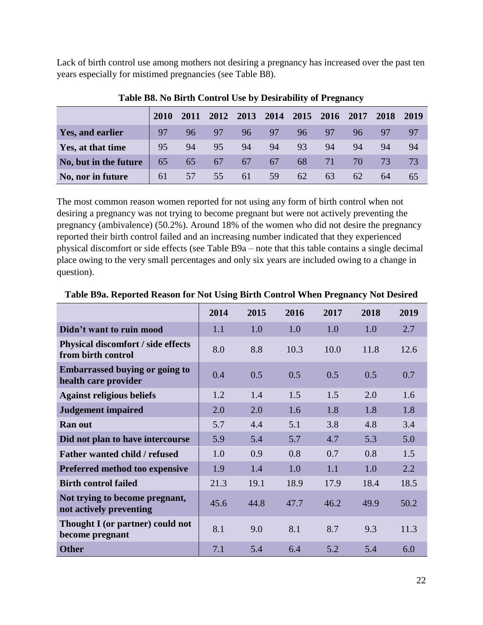Lack of birth control use among mothers not desiring a pregnancy has increased over the past ten years especially for mistimed pregnancies (see Table B8).

|                       | 2010 | 2011 | 2012 | 2013 | 2014 | 2015 | 2016 | 2017 | 2018 | 2019 |
|-----------------------|------|------|------|------|------|------|------|------|------|------|
| Yes, and earlier      | 97   | 96   | 97   | 96   | 97   | 96   | 97   | 96   | 97   | 97   |
| Yes, at that time     | 95   | 94   | 95   | 94   | 94   | 93   | 94   | 94   | 94   | 94   |
| No, but in the future | 65   | 65   | 67   | 67   | 67   | 68   | 71   | 70.  | 73   | 73   |
| No, nor in future     | 61   | 57   | 55   | 61   | 59   | 62   | 63   | 62   | 64   | 65   |

**Table B8. No Birth Control Use by Desirability of Pregnancy**

The most common reason women reported for not using any form of birth control when not desiring a pregnancy was not trying to become pregnant but were not actively preventing the pregnancy (ambivalence) (50.2%). Around 18% of the women who did not desire the pregnancy reported their birth control failed and an increasing number indicated that they experienced physical discomfort or side effects (see Table B9a – note that this table contains a single decimal place owing to the very small percentages and only six years are included owing to a change in question).

|                                                                 | 2014 | 2015 | 2016 | 2017 | 2018 | 2019 |
|-----------------------------------------------------------------|------|------|------|------|------|------|
| Didn't want to ruin mood                                        | 1.1  | 1.0  | 1.0  | 1.0  | 1.0  | 2.7  |
| <b>Physical discomfort / side effects</b><br>from birth control | 8.0  | 8.8  | 10.3 | 10.0 | 11.8 | 12.6 |
| <b>Embarrassed buying or going to</b><br>health care provider   | 0.4  | 0.5  | 0.5  | 0.5  | 0.5  | 0.7  |
| <b>Against religious beliefs</b>                                | 1.2  | 1.4  | 1.5  | 1.5  | 2.0  | 1.6  |
| <b>Judgement impaired</b>                                       | 2.0  | 2.0  | 1.6  | 1.8  | 1.8  | 1.8  |
| Ran out                                                         | 5.7  | 4.4  | 5.1  | 3.8  | 4.8  | 3.4  |
| Did not plan to have intercourse                                | 5.9  | 5.4  | 5.7  | 4.7  | 5.3  | 5.0  |
| <b>Father wanted child / refused</b>                            | 1.0  | 0.9  | 0.8  | 0.7  | 0.8  | 1.5  |
| Preferred method too expensive                                  | 1.9  | 1.4  | 1.0  | 1.1  | 1.0  | 2.2  |
| <b>Birth control failed</b>                                     | 21.3 | 19.1 | 18.9 | 17.9 | 18.4 | 18.5 |
| Not trying to become pregnant,<br>not actively preventing       | 45.6 | 44.8 | 47.7 | 46.2 | 49.9 | 50.2 |
| Thought I (or partner) could not<br>become pregnant             | 8.1  | 9.0  | 8.1  | 8.7  | 9.3  | 11.3 |
| <b>Other</b>                                                    | 7.1  | 5.4  | 6.4  | 5.2  | 5.4  | 6.0  |

#### **Table B9a. Reported Reason for Not Using Birth Control When Pregnancy Not Desired**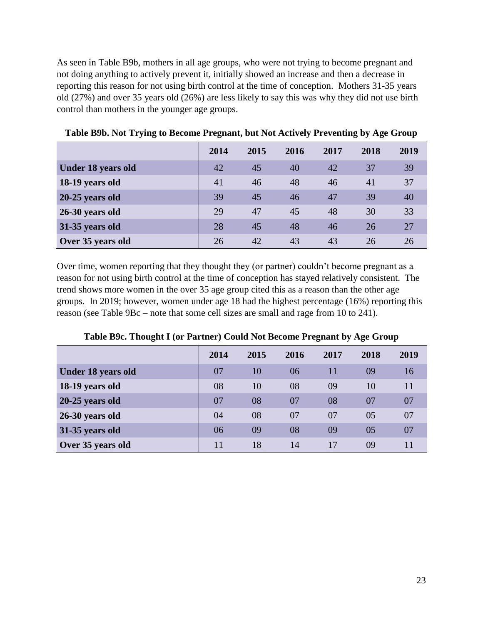As seen in Table B9b, mothers in all age groups, who were not trying to become pregnant and not doing anything to actively prevent it, initially showed an increase and then a decrease in reporting this reason for not using birth control at the time of conception. Mothers 31-35 years old (27%) and over 35 years old (26%) are less likely to say this was why they did not use birth control than mothers in the younger age groups.

|                    | 2014 | 2015 | 2016 | 2017 | 2018 | 2019 |
|--------------------|------|------|------|------|------|------|
| Under 18 years old | 42   | 45   | 40   | 42   | 37   | 39   |
| 18-19 years old    | 41   | 46   | 48   | 46   | 41   | 37   |
| 20-25 years old    | 39   | 45   | 46   | 47   | 39   | 40   |
| 26-30 years old    | 29   | 47   | 45   | 48   | 30   | 33   |
| 31-35 years old    | 28   | 45   | 48   | 46   | 26   | 27   |
| Over 35 years old  | 26   | 42   | 43   | 43   | 26   | 26   |

**Table B9b. Not Trying to Become Pregnant, but Not Actively Preventing by Age Group**

Over time, women reporting that they thought they (or partner) couldn't become pregnant as a reason for not using birth control at the time of conception has stayed relatively consistent. The trend shows more women in the over 35 age group cited this as a reason than the other age groups. In 2019; however, women under age 18 had the highest percentage (16%) reporting this reason (see Table 9Bc – note that some cell sizes are small and rage from 10 to 241).

|                    | 2014 | 2015 | 2016 | 2017 | 2018 | 2019 |
|--------------------|------|------|------|------|------|------|
| Under 18 years old | 07   | 10   | 06   | 11   | 09   | 16   |
| 18-19 years old    | 08   | 10   | 08   | 09   | 10   | 11   |
| 20-25 years old    | 07   | 08   | 07   | 08   | 07   | 07   |
| 26-30 years old    | 04   | 08   | 07   | 07   | 05   | 07   |
| 31-35 years old    | 06   | 09   | 08   | 09   | 05   | 07   |
| Over 35 years old  | 11   | 18   | 14   | 17   | 09   |      |

**Table B9c. Thought I (or Partner) Could Not Become Pregnant by Age Group**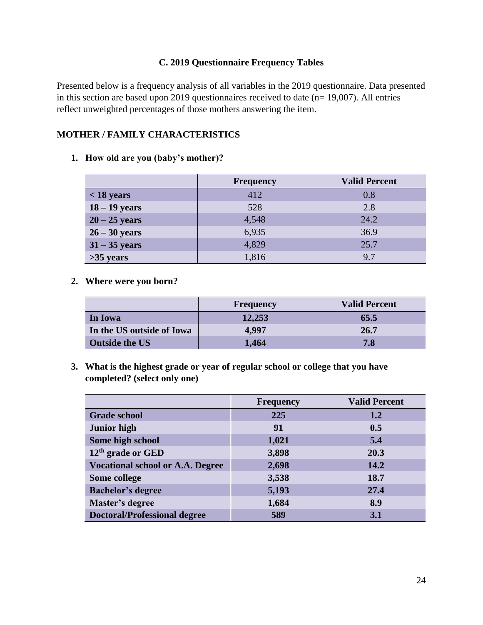# **C. 2019 Questionnaire Frequency Tables**

Presented below is a frequency analysis of all variables in the 2019 questionnaire. Data presented in this section are based upon 2019 questionnaires received to date (n= 19,007). All entries reflect unweighted percentages of those mothers answering the item.

# **MOTHER / FAMILY CHARACTERISTICS**

**1. How old are you (baby's mother)?**

|                 | <b>Frequency</b> | <b>Valid Percent</b> |
|-----------------|------------------|----------------------|
| $<$ 18 years    | 412              | 0.8                  |
| $18 - 19$ years | 528              | 2.8                  |
| $20 - 25$ years | 4,548            | 24.2                 |
| $26 - 30$ years | 6,935            | 36.9                 |
| $31 - 35$ years | 4,829            | 25.7                 |
| $>35$ years     | 1,816            | 9.7                  |

**2. Where were you born?**

|                           | <b>Frequency</b> | <b>Valid Percent</b> |
|---------------------------|------------------|----------------------|
| In Iowa                   | 12,253           | 65.5                 |
| In the US outside of Iowa | 4.997            | 26.7                 |
| <b>Outside the US</b>     | 1,464            | 7.8                  |

**3. What is the highest grade or year of regular school or college that you have completed? (select only one)**

|                                         | <b>Frequency</b> | <b>Valid Percent</b> |
|-----------------------------------------|------------------|----------------------|
| <b>Grade school</b>                     | 225              | 1.2                  |
| <b>Junior high</b>                      | 91               | 0.5                  |
| Some high school                        | 1,021            | 5.4                  |
| $12th$ grade or GED                     | 3,898            | 20.3                 |
| <b>Vocational school or A.A. Degree</b> | 2,698            | 14.2                 |
| Some college                            | 3,538            | 18.7                 |
| <b>Bachelor's degree</b>                | 5,193            | 27.4                 |
| Master's degree                         | 1,684            | 8.9                  |
| <b>Doctoral/Professional degree</b>     | 589              | 3.1                  |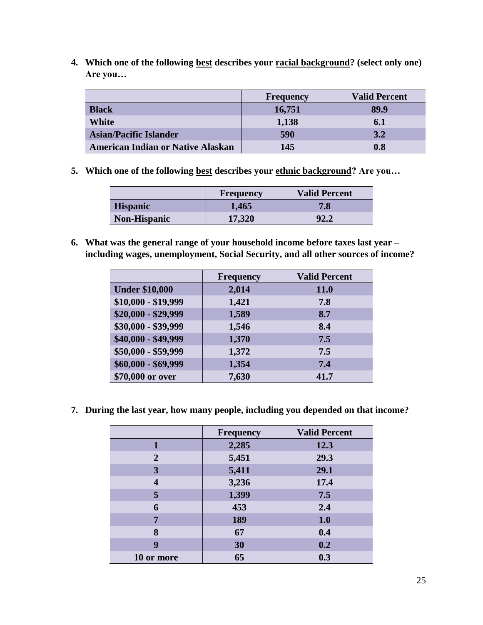**4. Which one of the following best describes your racial background? (select only one) Are you…**

|                                          | <b>Frequency</b> | <b>Valid Percent</b> |
|------------------------------------------|------------------|----------------------|
| <b>Black</b>                             | 16,751           | 89.9                 |
| White                                    | 1,138            | 6.1                  |
| <b>Asian/Pacific Islander</b>            | 590              | 3.2                  |
| <b>American Indian or Native Alaskan</b> | 145              | 0.8                  |

**5. Which one of the following best describes your ethnic background? Are you…**

|                     | <b>Frequency</b> | <b>Valid Percent</b> |
|---------------------|------------------|----------------------|
| <b>Hispanic</b>     | 1,465            | 7.8                  |
| <b>Non-Hispanic</b> | 17,320           | 92.2                 |

**6. What was the general range of your household income before taxes last year – including wages, unemployment, Social Security, and all other sources of income?**

|                       | <b>Frequency</b> | <b>Valid Percent</b> |
|-----------------------|------------------|----------------------|
| <b>Under \$10,000</b> | 2,014            | <b>11.0</b>          |
| $$10,000 - $19,999$   | 1,421            | 7.8                  |
| $$20,000 - $29,999$   | 1,589            | 8.7                  |
| \$30,000 - \$39,999   | 1,546            | 8.4                  |
| \$40,000 - \$49,999   | 1,370            | 7.5                  |
| \$50,000 - \$59,999   | 1,372            | 7.5                  |
| $$60,000 - $69,999$   | 1,354            | 7.4                  |
| \$70,000 or over      | 7,630            | 41.7                 |

**7. During the last year, how many people, including you depended on that income?**

|                  | <b>Frequency</b> | <b>Valid Percent</b> |
|------------------|------------------|----------------------|
|                  | 2,285            | 12.3                 |
| $\overline{2}$   | 5,451            | 29.3                 |
| 3                | 5,411            | 29.1                 |
| $\boldsymbol{4}$ | 3,236            | 17.4                 |
| 5                | 1,399            | 7.5                  |
| 6                | 453              | 2.4                  |
| 7                | 189              | 1.0                  |
| 8                | 67               | 0.4                  |
| 9                | 30               | 0.2                  |
| 10 or more       | 65               | 0.3                  |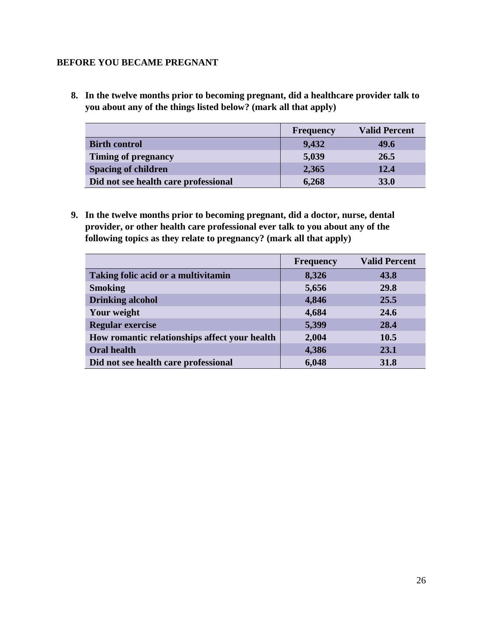# **BEFORE YOU BECAME PREGNANT**

**8. In the twelve months prior to becoming pregnant, did a healthcare provider talk to you about any of the things listed below? (mark all that apply)**

|                                      | Frequency | <b>Valid Percent</b> |
|--------------------------------------|-----------|----------------------|
| <b>Birth control</b>                 | 9,432     | 49.6                 |
| Timing of pregnancy                  | 5,039     | 26.5                 |
| <b>Spacing of children</b>           | 2,365     | 12.4                 |
| Did not see health care professional | 6,268     | <b>33.0</b>          |

**9. In the twelve months prior to becoming pregnant, did a doctor, nurse, dental provider, or other health care professional ever talk to you about any of the following topics as they relate to pregnancy? (mark all that apply)**

|                                               | <b>Frequency</b> | <b>Valid Percent</b> |
|-----------------------------------------------|------------------|----------------------|
| Taking folic acid or a multivitamin           | 8,326            | 43.8                 |
| <b>Smoking</b>                                | 5,656            | 29.8                 |
| <b>Drinking alcohol</b>                       | 4,846            | 25.5                 |
| Your weight                                   | 4,684            | 24.6                 |
| <b>Regular exercise</b>                       | 5,399            | 28.4                 |
| How romantic relationships affect your health | 2,004            | 10.5                 |
| <b>Oral health</b>                            | 4,386            | 23.1                 |
| Did not see health care professional          | 6,048            | 31.8                 |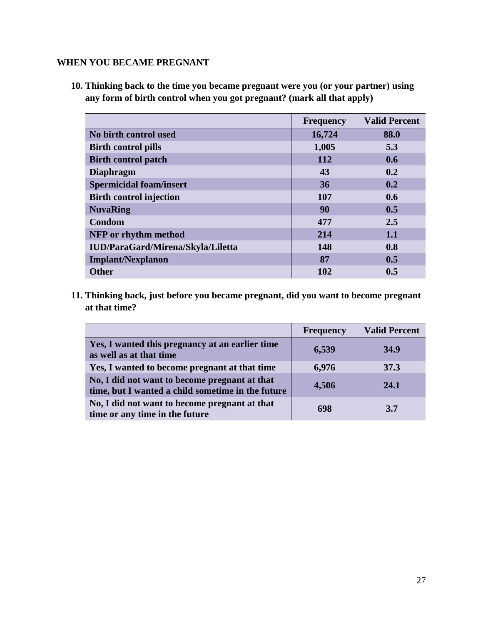# **WHEN YOU BECAME PREGNANT**

**10. Thinking back to the time you became pregnant were you (or your partner) using any form of birth control when you got pregnant? (mark all that apply)**

|                                   | <b>Frequency</b> | <b>Valid Percent</b> |
|-----------------------------------|------------------|----------------------|
| No birth control used             | 16,724           | 88.0                 |
| <b>Birth control pills</b>        | 1,005            | 5.3                  |
| <b>Birth control patch</b>        | 112              | 0.6                  |
| <b>Diaphragm</b>                  | 43               | 0.2                  |
| <b>Spermicidal foam/insert</b>    | 36               | 0.2                  |
| <b>Birth control injection</b>    | 107              | 0.6                  |
| <b>NuvaRing</b>                   | 90               | 0.5                  |
| Condom                            | 477              | 2.5                  |
| NFP or rhythm method              | 214              | 1.1                  |
| IUD/ParaGard/Mirena/Skyla/Liletta | 148              | 0.8                  |
| <b>Implant/Nexplanon</b>          | 87               | 0.5                  |
| <b>Other</b>                      | 102              | 0.5                  |

**11. Thinking back, just before you became pregnant, did you want to become pregnant at that time?**

|                                                                                                    | <b>Frequency</b> | <b>Valid Percent</b> |
|----------------------------------------------------------------------------------------------------|------------------|----------------------|
| Yes, I wanted this pregnancy at an earlier time<br>as well as at that time                         | 6,539            | <b>34.9</b>          |
| Yes, I wanted to become pregnant at that time                                                      | 6,976            | 37.3                 |
| No, I did not want to become pregnant at that<br>time, but I wanted a child sometime in the future | 4,506            | 24.1                 |
| No, I did not want to become pregnant at that<br>time or any time in the future                    | 698              | 3.7                  |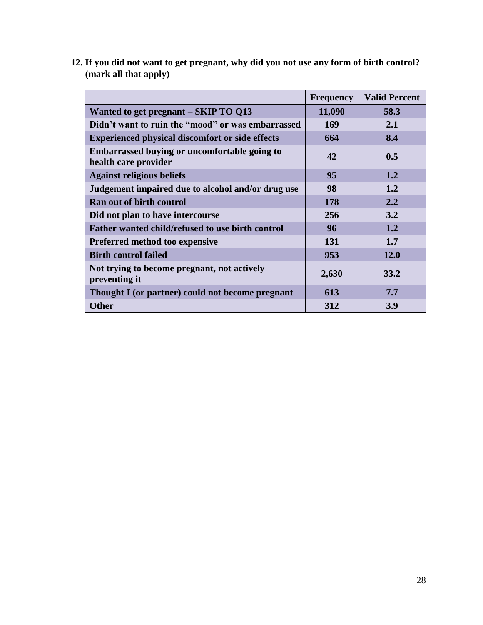|                                                                      | <b>Frequency</b> | <b>Valid Percent</b> |
|----------------------------------------------------------------------|------------------|----------------------|
| Wanted to get pregnant – SKIP TO Q13                                 | 11,090           | 58.3                 |
| Didn't want to ruin the "mood" or was embarrassed                    | 169              | 2.1                  |
| <b>Experienced physical discomfort or side effects</b>               | 664              | 8.4                  |
| Embarrassed buying or uncomfortable going to<br>health care provider | 42               | 0.5                  |
| <b>Against religious beliefs</b>                                     | 95               | 1.2                  |
| Judgement impaired due to alcohol and/or drug use                    | 98               | 1.2                  |
| <b>Ran out of birth control</b>                                      | 178              | 2.2                  |
| Did not plan to have intercourse                                     | 256              | 3.2                  |
| Father wanted child/refused to use birth control                     | 96               | 1.2                  |
| <b>Preferred method too expensive</b>                                | 131              | 1.7                  |
| <b>Birth control failed</b>                                          | 953              | 12.0                 |
| Not trying to become pregnant, not actively<br>preventing it         | 2,630            | <b>33.2</b>          |
| Thought I (or partner) could not become pregnant                     | 613              | 7.7                  |
| <b>Other</b>                                                         | 312              | <b>3.9</b>           |

**12. If you did not want to get pregnant, why did you not use any form of birth control? (mark all that apply)**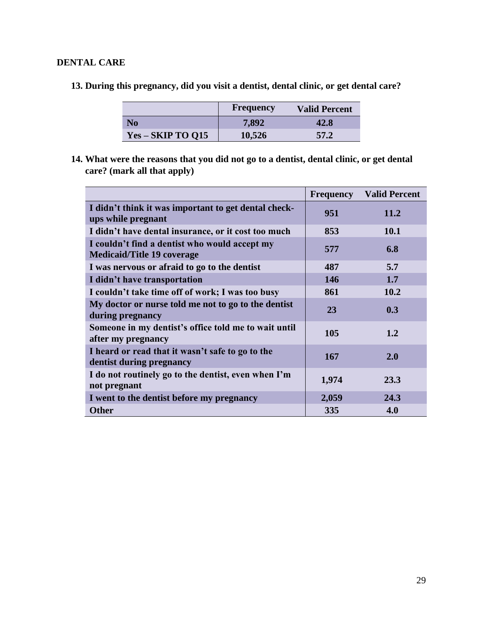# **DENTAL CARE**

**13. During this pregnancy, did you visit a dentist, dental clinic, or get dental care?**

|                   | <b>Frequency</b> | <b>Valid Percent</b> |
|-------------------|------------------|----------------------|
| N <sub>0</sub>    | 7,892            | 42.8                 |
| Yes – SKIP TO Q15 | 10,526           | 57.2                 |

**14. What were the reasons that you did not go to a dentist, dental clinic, or get dental care? (mark all that apply)**

|                                                                                    | <b>Frequency</b> | <b>Valid Percent</b> |
|------------------------------------------------------------------------------------|------------------|----------------------|
| I didn't think it was important to get dental check-<br>ups while pregnant         | 951              | 11.2                 |
| I didn't have dental insurance, or it cost too much                                | 853              | <b>10.1</b>          |
| I couldn't find a dentist who would accept my<br><b>Medicaid/Title 19 coverage</b> | 577              | 6.8                  |
| I was nervous or afraid to go to the dentist                                       | 487              | 5.7                  |
| I didn't have transportation                                                       | 146              | 1.7                  |
| I couldn't take time off of work; I was too busy                                   | 861              | 10.2                 |
| My doctor or nurse told me not to go to the dentist<br>during pregnancy            | 23               | 0.3                  |
| Someone in my dentist's office told me to wait until<br>after my pregnancy         | 105              | 1.2                  |
| I heard or read that it wasn't safe to go to the<br>dentist during pregnancy       | 167              | 2.0                  |
| I do not routinely go to the dentist, even when I'm<br>not pregnant                | 1,974            | 23.3                 |
| I went to the dentist before my pregnancy                                          | 2,059            | 24.3                 |
| <b>Other</b>                                                                       | 335              | 4.0                  |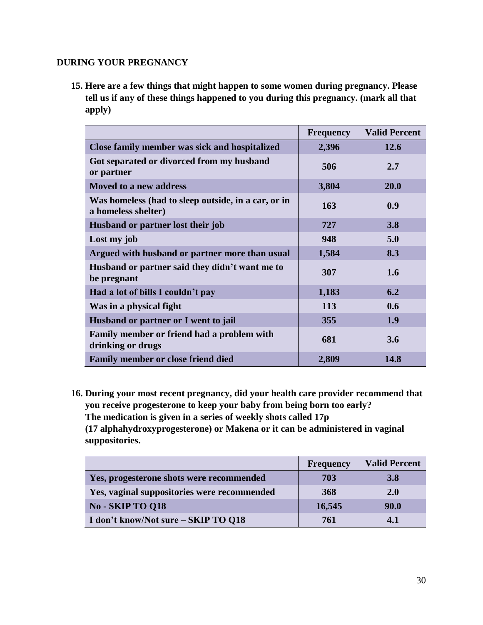# **DURING YOUR PREGNANCY**

**15. Here are a few things that might happen to some women during pregnancy. Please tell us if any of these things happened to you during this pregnancy. (mark all that apply)**

|                                                                            | <b>Frequency</b> | <b>Valid Percent</b> |
|----------------------------------------------------------------------------|------------------|----------------------|
| Close family member was sick and hospitalized                              | 2,396            | 12.6                 |
| Got separated or divorced from my husband<br>or partner                    | 506              | 2.7                  |
| Moved to a new address                                                     | 3,804            | 20.0                 |
| Was homeless (had to sleep outside, in a car, or in<br>a homeless shelter) | 163              | 0.9                  |
| Husband or partner lost their job                                          | 727              | 3.8                  |
| Lost my job                                                                | 948              | 5.0                  |
| Argued with husband or partner more than usual                             | 1,584            | 8.3                  |
| Husband or partner said they didn't want me to<br>be pregnant              | 307              | 1.6                  |
| Had a lot of bills I couldn't pay                                          | 1,183            | 6.2                  |
| Was in a physical fight                                                    | 113              | 0.6                  |
| Husband or partner or I went to jail                                       | 355              | 1.9                  |
| Family member or friend had a problem with<br>drinking or drugs            | 681              | 3.6                  |
| <b>Family member or close friend died</b>                                  | 2,809            | 14.8                 |

**16. During your most recent pregnancy, did your health care provider recommend that you receive progesterone to keep your baby from being born too early? The medication is given in a series of weekly shots called 17p (17 alphahydroxyprogesterone) or Makena or it can be administered in vaginal suppositories.**

|                                             | <b>Frequency</b> | <b>Valid Percent</b> |
|---------------------------------------------|------------------|----------------------|
| Yes, progesterone shots were recommended    | 703              | 3.8                  |
| Yes, vaginal suppositories were recommended | 368              | <b>2.0</b>           |
| No - SKIP TO 018                            | 16,545           | <b>90.0</b>          |
| I don't know/Not sure - SKIP TO Q18         | 761              | 4.1                  |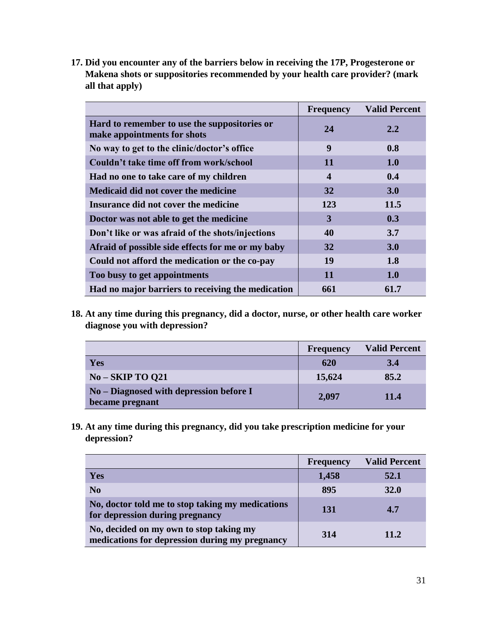**17. Did you encounter any of the barriers below in receiving the 17P, Progesterone or Makena shots or suppositories recommended by your health care provider? (mark all that apply)**

|                                                                             | <b>Frequency</b> | <b>Valid Percent</b> |
|-----------------------------------------------------------------------------|------------------|----------------------|
| Hard to remember to use the suppositories or<br>make appointments for shots | 24               | 2.2                  |
| No way to get to the clinic/doctor's office                                 | 9                | 0.8                  |
| Couldn't take time off from work/school                                     | 11               | <b>1.0</b>           |
| Had no one to take care of my children                                      | 4                | 0.4                  |
| <b>Medicaid did not cover the medicine</b>                                  | 32               | 3.0                  |
| Insurance did not cover the medicine                                        | 123              | 11.5                 |
| Doctor was not able to get the medicine                                     | 3                | 0.3                  |
| Don't like or was afraid of the shots/injections                            | 40               | 3.7                  |
| Afraid of possible side effects for me or my baby                           | 32               | 3.0                  |
| Could not afford the medication or the co-pay                               | 19               | 1.8                  |
| Too busy to get appointments                                                | 11               | <b>1.0</b>           |
| Had no major barriers to receiving the medication                           | 661              | 61.7                 |

**18. At any time during this pregnancy, did a doctor, nurse, or other health care worker diagnose you with depression?**

|                                                            | Frequency | <b>Valid Percent</b> |
|------------------------------------------------------------|-----------|----------------------|
| <b>Yes</b>                                                 | 620       | 3.4                  |
| $No-SKIP TO O21$                                           | 15,624    | 85.2                 |
| No – Diagnosed with depression before I<br>became pregnant | 2,097     | 11.4                 |

**19. At any time during this pregnancy, did you take prescription medicine for your depression?**

|                                                                                           | <b>Frequency</b> | <b>Valid Percent</b> |
|-------------------------------------------------------------------------------------------|------------------|----------------------|
| <b>Yes</b>                                                                                | 1,458            | 52.1                 |
| N <sub>0</sub>                                                                            | 895              | <b>32.0</b>          |
| No, doctor told me to stop taking my medications<br>for depression during pregnancy       | 131              | 4.7                  |
| No, decided on my own to stop taking my<br>medications for depression during my pregnancy | 314              | 11.2                 |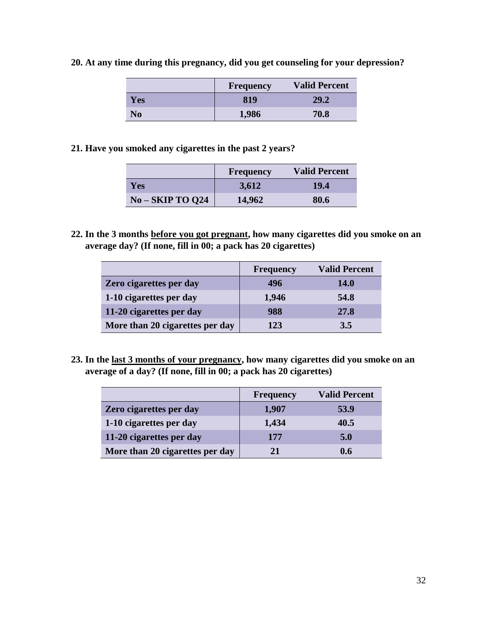|     | <b>Frequency</b> | <b>Valid Percent</b> |
|-----|------------------|----------------------|
| Yes | 819              | 29.2                 |
| No  | 1,986            | 70.8                 |

**20. At any time during this pregnancy, did you get counseling for your depression?**

**21. Have you smoked any cigarettes in the past 2 years?**

|                  | <b>Frequency</b> | <b>Valid Percent</b> |
|------------------|------------------|----------------------|
| <b>Yes</b>       | 3,612            | 19.4                 |
| $No-SKIP TO Q24$ | 14,962           | 80.6                 |

**22. In the 3 months before you got pregnant, how many cigarettes did you smoke on an average day? (If none, fill in 00; a pack has 20 cigarettes)**

|                                 | <b>Frequency</b> | <b>Valid Percent</b> |
|---------------------------------|------------------|----------------------|
| Zero cigarettes per day         | 496              | <b>14.0</b>          |
| 1-10 cigarettes per day         | 1,946            | 54.8                 |
| 11-20 cigarettes per day        | 988              | 27.8                 |
| More than 20 cigarettes per day | 123              | 3.5                  |

**23. In the last 3 months of your pregnancy, how many cigarettes did you smoke on an average of a day? (If none, fill in 00; a pack has 20 cigarettes)**

|                                 | Frequency | <b>Valid Percent</b> |
|---------------------------------|-----------|----------------------|
| Zero cigarettes per day         | 1,907     | 53.9                 |
| 1-10 cigarettes per day         | 1,434     | 40.5                 |
| 11-20 cigarettes per day        | 177       | 5.0                  |
| More than 20 cigarettes per day | 21        | 0.6                  |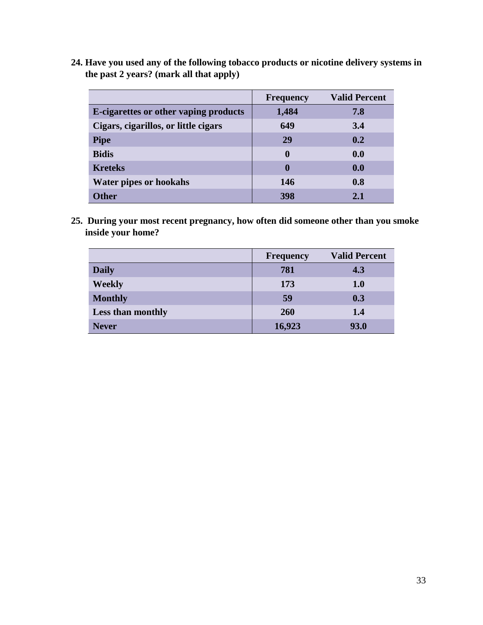**24. Have you used any of the following tobacco products or nicotine delivery systems in the past 2 years? (mark all that apply)**

|                                       | <b>Frequency</b> | <b>Valid Percent</b> |
|---------------------------------------|------------------|----------------------|
| E-cigarettes or other vaping products | 1,484            | 7.8                  |
| Cigars, cigarillos, or little cigars  | 649              | 3.4                  |
| <b>Pipe</b>                           | 29               | 0.2                  |
| <b>Bidis</b>                          | $\mathbf{0}$     | 0.0                  |
| <b>Kreteks</b>                        | $\bf{0}$         | 0.0                  |
| Water pipes or hookahs                | 146              | 0.8                  |
| <b>Other</b>                          | 398              | 2.1                  |

**25. During your most recent pregnancy, how often did someone other than you smoke inside your home?**

|                          | Frequency | <b>Valid Percent</b> |
|--------------------------|-----------|----------------------|
| <b>Daily</b>             | 781       | 4.3                  |
| <b>Weekly</b>            | 173       | <b>1.0</b>           |
| <b>Monthly</b>           | 59        | 0.3                  |
| <b>Less than monthly</b> | 260       | 1.4                  |
| <b>Never</b>             | 16,923    | 93.0                 |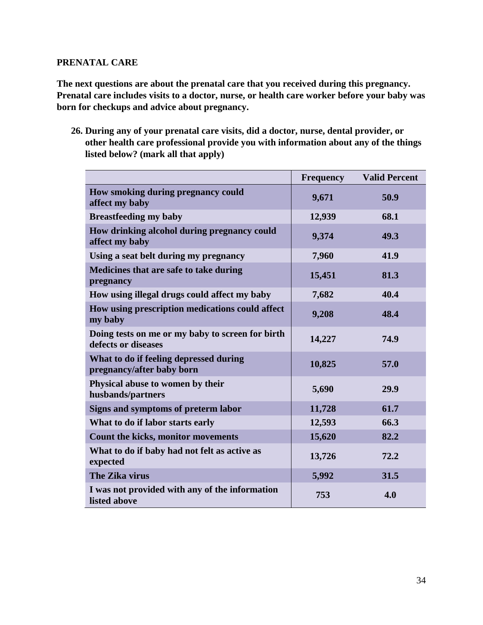## **PRENATAL CARE**

**The next questions are about the prenatal care that you received during this pregnancy. Prenatal care includes visits to a doctor, nurse, or health care worker before your baby was born for checkups and advice about pregnancy.**

**26. During any of your prenatal care visits, did a doctor, nurse, dental provider, or other health care professional provide you with information about any of the things listed below? (mark all that apply)**

|                                                                         | <b>Frequency</b> | <b>Valid Percent</b> |
|-------------------------------------------------------------------------|------------------|----------------------|
| How smoking during pregnancy could<br>affect my baby                    | 9,671            | 50.9                 |
| <b>Breastfeeding my baby</b>                                            | 12,939           | 68.1                 |
| How drinking alcohol during pregnancy could<br>affect my baby           | 9,374            | 49.3                 |
| Using a seat belt during my pregnancy                                   | 7,960            | 41.9                 |
| Medicines that are safe to take during<br>pregnancy                     | 15,451           | 81.3                 |
| How using illegal drugs could affect my baby                            | 7,682            | 40.4                 |
| How using prescription medications could affect<br>my baby              | 9,208            | 48.4                 |
| Doing tests on me or my baby to screen for birth<br>defects or diseases | 14,227           | 74.9                 |
| What to do if feeling depressed during<br>pregnancy/after baby born     | 10,825           | 57.0                 |
| Physical abuse to women by their<br>husbands/partners                   | 5,690            | 29.9                 |
| Signs and symptoms of preterm labor                                     | 11,728           | 61.7                 |
| What to do if labor starts early                                        | 12,593           | 66.3                 |
| Count the kicks, monitor movements                                      | 15,620           | 82.2                 |
| What to do if baby had not felt as active as<br>expected                | 13,726           | 72.2                 |
| The Zika virus                                                          | 5,992            | 31.5                 |
| I was not provided with any of the information<br>listed above          | 753              | 4.0                  |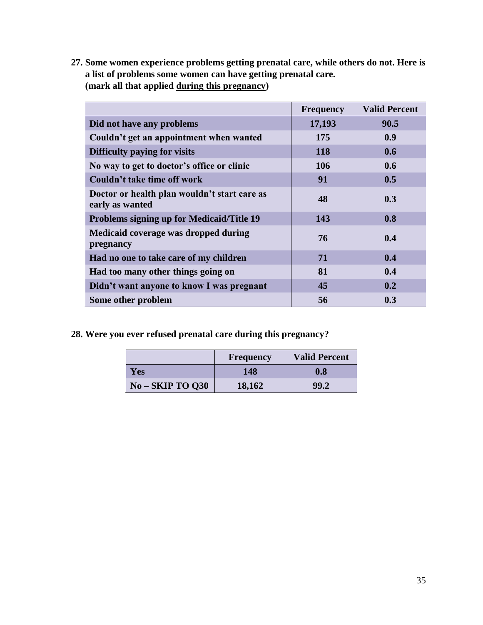**27. Some women experience problems getting prenatal care, while others do not. Here is a list of problems some women can have getting prenatal care. (mark all that applied during this pregnancy)**

|                                                                 | <b>Frequency</b> | <b>Valid Percent</b> |
|-----------------------------------------------------------------|------------------|----------------------|
| Did not have any problems                                       | 17,193           | 90.5                 |
| Couldn't get an appointment when wanted                         | 175              | 0.9                  |
| Difficulty paying for visits                                    | <b>118</b>       | 0.6                  |
| No way to get to doctor's office or clinic                      | 106              | 0.6                  |
| Couldn't take time off work                                     | 91               | 0.5                  |
| Doctor or health plan wouldn't start care as<br>early as wanted | 48               | 0.3                  |
| <b>Problems signing up for Medicaid/Title 19</b>                | 143              | 0.8                  |
| Medicaid coverage was dropped during<br>pregnancy               | 76               | 0.4                  |
| Had no one to take care of my children                          | 71               | 0.4                  |
| Had too many other things going on                              | 81               | 0.4                  |
| Didn't want anyone to know I was pregnant                       | 45               | 0.2                  |
| Some other problem                                              | 56               | 0.3                  |

**28. Were you ever refused prenatal care during this pregnancy?**

|                  | <b>Frequency</b> | <b>Valid Percent</b> |
|------------------|------------------|----------------------|
| Yes              | 148              | 0.8                  |
| $No-SKIP TO Q30$ | 18,162           | 99.2                 |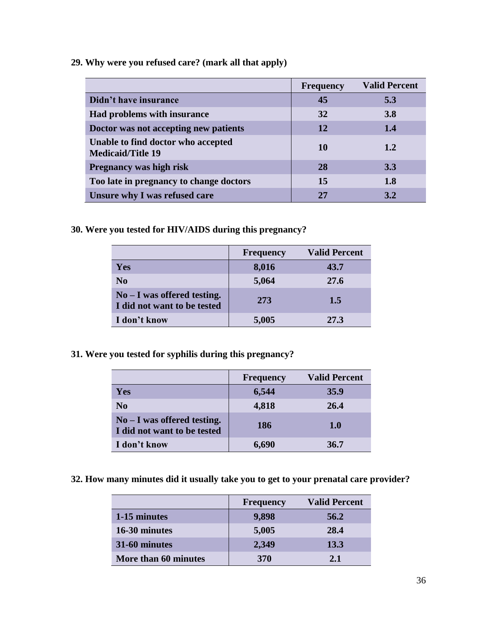**29. Why were you refused care? (mark all that apply)**

|                                                                | <b>Frequency</b> | <b>Valid Percent</b> |
|----------------------------------------------------------------|------------------|----------------------|
| Didn't have insurance                                          | 45               | 5.3                  |
| <b>Had problems with insurance</b>                             | 32               | <b>3.8</b>           |
| Doctor was not accepting new patients                          | <b>12</b>        | 1.4                  |
| Unable to find doctor who accepted<br><b>Medicaid/Title 19</b> | 10               | 1.2                  |
| <b>Pregnancy was high risk</b>                                 | 28               | 3.3                  |
| Too late in pregnancy to change doctors                        | 15               | <b>1.8</b>           |
| Unsure why I was refused care                                  | 27               | 3.2                  |

**30. Were you tested for HIV/AIDS during this pregnancy?**

|                                                              | <b>Frequency</b> | <b>Valid Percent</b> |
|--------------------------------------------------------------|------------------|----------------------|
| <b>Yes</b>                                                   | 8,016            | 43.7                 |
| N <sub>0</sub>                                               | 5,064            | 27.6                 |
| $No - I was offered testing.$<br>I did not want to be tested | 273              | 1.5                  |
| I don't know                                                 | 5,005            | 27.3                 |

**31. Were you tested for syphilis during this pregnancy?**

|                                                              | <b>Frequency</b> | <b>Valid Percent</b> |
|--------------------------------------------------------------|------------------|----------------------|
| Yes                                                          | 6,544            | 35.9                 |
| N <sub>0</sub>                                               | 4,818            | 26.4                 |
| $No - I$ was offered testing.<br>I did not want to be tested | <b>186</b>       | 1.0                  |
| I don't know                                                 | 6,690            | 36.7                 |

**32. How many minutes did it usually take you to get to your prenatal care provider?**

|                      | <b>Frequency</b> | <b>Valid Percent</b> |
|----------------------|------------------|----------------------|
| 1-15 minutes         | 9,898            | 56.2                 |
| 16-30 minutes        | 5,005            | 28.4                 |
| 31-60 minutes        | 2,349            | 13.3                 |
| More than 60 minutes | <b>370</b>       | 2.1                  |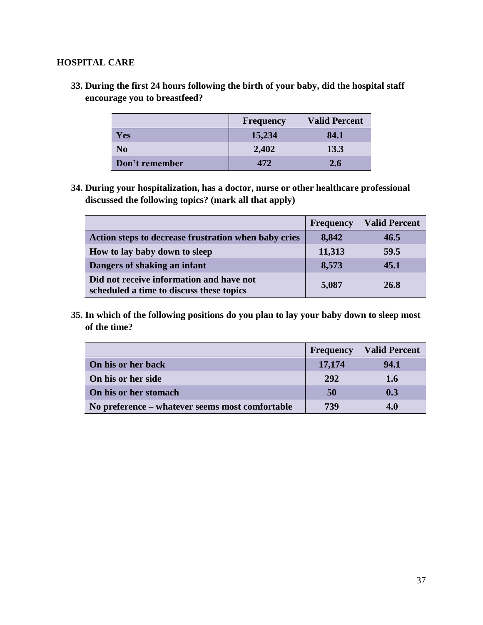## **HOSPITAL CARE**

**33. During the first 24 hours following the birth of your baby, did the hospital staff encourage you to breastfeed?**

|                | <b>Frequency</b> | <b>Valid Percent</b> |
|----------------|------------------|----------------------|
| Yes            | 15,234           | 84.1                 |
| N <sub>0</sub> | 2,402            | 13.3                 |
| Don't remember | 472              | 2.6                  |

**34. During your hospitalization, has a doctor, nurse or other healthcare professional discussed the following topics? (mark all that apply)**

|                                                                                      | <b>Frequency</b> | <b>Valid Percent</b> |
|--------------------------------------------------------------------------------------|------------------|----------------------|
| Action steps to decrease frustration when baby cries                                 | 8,842            | 46.5                 |
| How to lay baby down to sleep                                                        | 11,313           | 59.5                 |
| Dangers of shaking an infant                                                         | 8,573            | 45.1                 |
| Did not receive information and have not<br>scheduled a time to discuss these topics | 5,087            | 26.8                 |

**35. In which of the following positions do you plan to lay your baby down to sleep most of the time?**

|                                                 | <b>Frequency</b> | <b>Valid Percent</b> |
|-------------------------------------------------|------------------|----------------------|
| On his or her back                              | 17,174           | 94.1                 |
| On his or her side                              | 292              | 1.6                  |
| On his or her stomach                           | 50               | 0.3                  |
| No preference – whatever seems most comfortable | 739              | 4.0                  |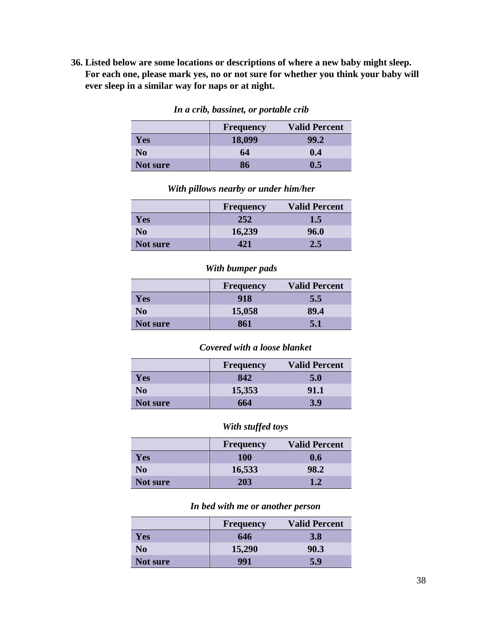**36. Listed below are some locations or descriptions of where a new baby might sleep. For each one, please mark yes, no or not sure for whether you think your baby will ever sleep in a similar way for naps or at night.**

|                | <b>Frequency</b> | <b>Valid Percent</b> |
|----------------|------------------|----------------------|
| Yes            | 18,099           | 99.2                 |
| N <sub>0</sub> | 64               | 0.4                  |
| Not sure       | 86               | I).5                 |

*In a crib, bassinet, or portable crib*

|                | <b>Frequency</b> | <b>Valid Percent</b> |  |
|----------------|------------------|----------------------|--|
| <b>Yes</b>     | 252              | 1.5                  |  |
| N <sub>0</sub> | 16,239           | 96.0                 |  |
| Not sure       | 421              | 2.5                  |  |

*With pillows nearby or under him/her*

# *With bumper pads*

|                | <b>Frequency</b> | <b>Valid Percent</b> |
|----------------|------------------|----------------------|
| Yes            | 918              | 5.5                  |
| N <sub>0</sub> | 15,058           | 89.4                 |
| Not sure       | 861              | 5.1                  |

#### *Covered with a loose blanket*

|                | <b>Frequency</b> | <b>Valid Percent</b> |
|----------------|------------------|----------------------|
| <b>Yes</b>     | 842              | 5.0                  |
| N <sub>0</sub> | 15,353           | 91.1                 |
| Not sure       | 664              | 3.9                  |

# *With stuffed toys*

|                | <b>Frequency</b> | <b>Valid Percent</b> |
|----------------|------------------|----------------------|
| Yes            | <b>100</b>       | 0.6                  |
| N <sub>0</sub> | 16,533           | 98.2                 |
| Not sure       | 203              | 1.2                  |

# *In bed with me or another person*

|                | <b>Frequency</b> | <b>Valid Percent</b> |
|----------------|------------------|----------------------|
| <b>Yes</b>     | 646              | 3.8                  |
| N <sub>0</sub> | 15,290           | 90.3                 |
| Not sure       | 991              | 5.9                  |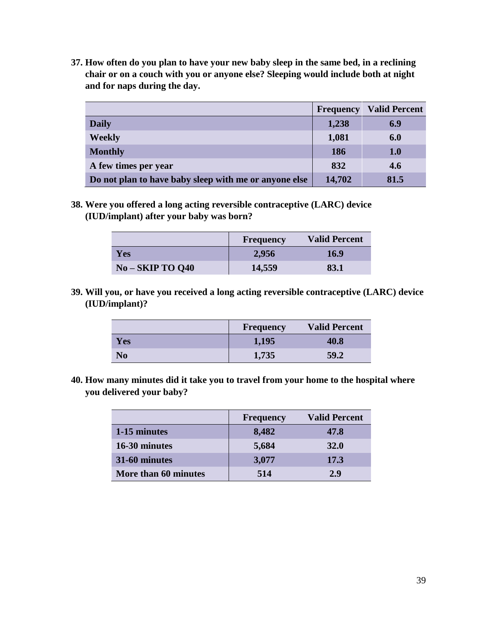**37. How often do you plan to have your new baby sleep in the same bed, in a reclining chair or on a couch with you or anyone else? Sleeping would include both at night and for naps during the day.** 

|                                                       | <b>Frequency</b> | <b>Valid Percent</b> |
|-------------------------------------------------------|------------------|----------------------|
| <b>Daily</b>                                          | 1,238            | 6.9                  |
| <b>Weekly</b>                                         | 1,081            | 6.0                  |
| <b>Monthly</b>                                        | 186              | 1.0                  |
| A few times per year                                  | 832              | 4.6                  |
| Do not plan to have baby sleep with me or anyone else | 14,702           | 81.5                 |

**38. Were you offered a long acting reversible contraceptive (LARC) device (IUD/implant) after your baby was born?**

|                  | Frequency | <b>Valid Percent</b> |
|------------------|-----------|----------------------|
| Yes              | 2,956     | <b>16.9</b>          |
| $No-SKIP TO Q40$ | 14,559    | 83.1                 |

**39. Will you, or have you received a long acting reversible contraceptive (LARC) device (IUD/implant)?**

|                | Frequency | <b>Valid Percent</b> |
|----------------|-----------|----------------------|
| <b>Yes</b>     | 1,195     | 40.8                 |
| N <sub>0</sub> | 1,735     | 59.2                 |

**40. How many minutes did it take you to travel from your home to the hospital where you delivered your baby?** 

|                      | <b>Frequency</b> | <b>Valid Percent</b> |
|----------------------|------------------|----------------------|
| 1-15 minutes         | 8,482            | 47.8                 |
| 16-30 minutes        | 5,684            | <b>32.0</b>          |
| 31-60 minutes        | 3,077            | 17.3                 |
| More than 60 minutes | 514              | 2.9                  |